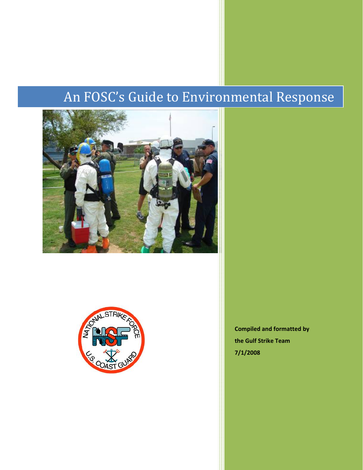# An FOSC's Guide to Environmental Response





**Compiled and formatted by the Gulf Strike Team 7/1/2008**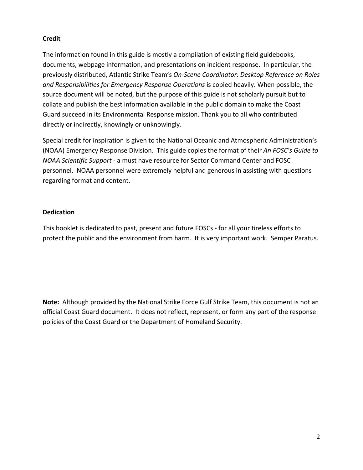# **Credit**

The information found in this guide is mostly a compilation of existing field guidebooks, documents, webpage information, and presentations on incident response. In particular, the previously distributed, Atlantic Strike Team's *On‐Scene Coordinator: Desktop Reference on Roles and Responsibilities for Emergency Response Operations* is copied heavily. When possible, the source document will be noted, but the purpose of this guide is not scholarly pursuit but to collate and publish the best information available in the public domain to make the Coast Guard succeed in its Environmental Response mission. Thank you to all who contributed directly or indirectly, knowingly or unknowingly.

Special credit for inspiration is given to the National Oceanic and Atmospheric Administration's (NOAA) Emergency Response Division. This guide copies the format of their *An FOSC's Guide to NOAA Scientific Support* ‐ a must have resource for Sector Command Center and FOSC personnel. NOAA personnel were extremely helpful and generous in assisting with questions regarding format and content.

# **Dedication**

This booklet is dedicated to past, present and future FOSCs ‐ for all your tireless efforts to protect the public and the environment from harm. It is very important work. Semper Paratus.

**Note:** Although provided by the National Strike Force Gulf Strike Team, this document is not an official Coast Guard document. It does not reflect, represent, or form any part of the response policies of the Coast Guard or the Department of Homeland Security.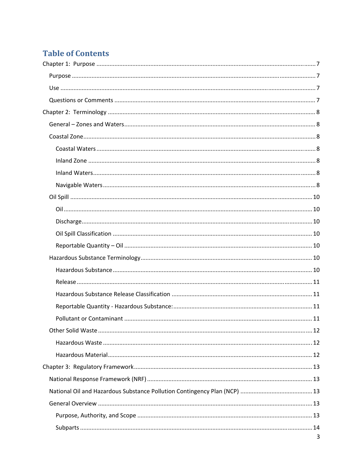# **Table of Contents**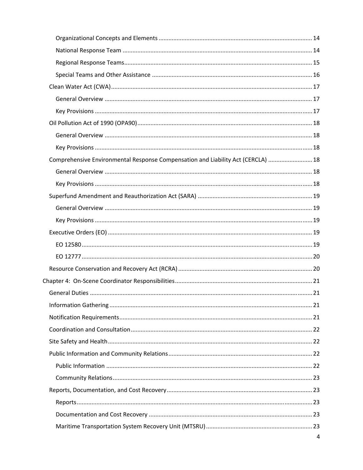| Comprehensive Environmental Response Compensation and Liability Act (CERCLA)  18 |  |
|----------------------------------------------------------------------------------|--|
|                                                                                  |  |
|                                                                                  |  |
|                                                                                  |  |
|                                                                                  |  |
|                                                                                  |  |
|                                                                                  |  |
|                                                                                  |  |
|                                                                                  |  |
|                                                                                  |  |
|                                                                                  |  |
|                                                                                  |  |
|                                                                                  |  |
|                                                                                  |  |
|                                                                                  |  |
|                                                                                  |  |
|                                                                                  |  |
|                                                                                  |  |
|                                                                                  |  |
|                                                                                  |  |
|                                                                                  |  |
|                                                                                  |  |
|                                                                                  |  |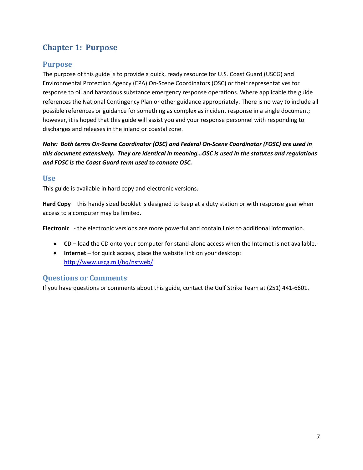# <span id="page-6-0"></span>**Chapter 1: Purpose**

# **Purpose**

The purpose of this guide is to provide a quick, ready resource for U.S. Coast Guard (USCG) and Environmental Protection Agency (EPA) On‐Scene Coordinators (OSC) or their representatives for response to oil and hazardous substance emergency response operations. Where applicable the guide references the National Contingency Plan or other guidance appropriately. There is no way to include all possible references or guidance for something as complex as incident response in a single document; however, it is hoped that this guide will assist you and your response personnel with responding to discharges and releases in the inland or coastal zone.

Note: Both terms On-Scene Coordinator (OSC) and Federal On-Scene Coordinator (FOSC) are used in *this document extensively. They are identical in meaning…OSC is used in the statutes and regulations and FOSC is the Coast Guard term used to connote OSC.* 

# **Use**

This guide is available in hard copy and electronic versions.

**Hard Copy** – this handy sized booklet is designed to keep at a duty station or with response gear when access to a computer may be limited.

**Electronic** ‐ the electronic versions are more powerful and contain links to additional information.

- **CD** load the CD onto your computer for stand‐alone access when the Internet is not available.
- **Internet** for quick access, place the website link on your desktop: <http://www.uscg.mil/hq/nsfweb/>

# **Questions or Comments**

If you have questions or comments about this guide, contact the Gulf Strike Team at (251) 441‐6601.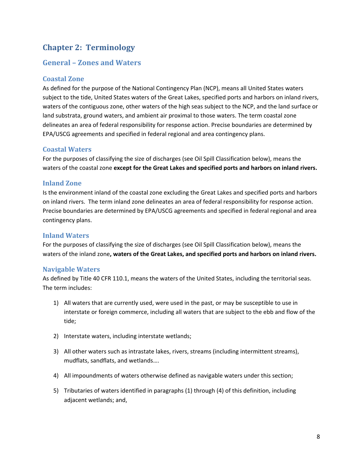# <span id="page-7-0"></span>**Chapter 2: Terminology**

# **General – Zones and Waters**

#### **Coastal Zone**

As defined for the purpose of the National Contingency Plan (NCP), means all United States waters subject to the tide, United States waters of the Great Lakes, specified ports and harbors on inland rivers, waters of the contiguous zone, other waters of the high seas subject to the NCP, and the land surface or land substrata, ground waters, and ambient air proximal to those waters. The term coastal zone delineates an area of federal responsibility for response action. Precise boundaries are determined by EPA/USCG agreements and specified in federal regional and area contingency plans.

#### **Coastal Waters**

For the purposes of classifying the size of discharges (see Oil Spill Classification below), means the waters of the coastal zone **except for the Great Lakes and specified ports and harbors on inland rivers.**

#### **Inland Zone**

Is the environment inland of the coastal zone excluding the Great Lakes and specified ports and harbors on inland rivers. The term inland zone delineates an area of federal responsibility for response action. Precise boundaries are determined by EPA/USCG agreements and specified in federal regional and area contingency plans.

#### **Inland Waters**

For the purposes of classifying the size of discharges (see Oil Spill Classification below), means the waters of the inland zone**, waters of the Great Lakes, and specified ports and harbors on inland rivers.**

#### **Navigable Waters**

As defined by Title 40 CFR 110.1, means the waters of the United States, including the territorial seas. The term includes:

- 1) All waters that are currently used, were used in the past, or may be susceptible to use in interstate or foreign commerce, including all waters that are subject to the ebb and flow of the tide;
- 2) Interstate waters, including interstate wetlands;
- 3) All other waters such as intrastate lakes, rivers, streams (including intermittent streams), mudflats, sandflats, and wetlands….
- 4) All impoundments of waters otherwise defined as navigable waters under this section;
- 5) Tributaries of waters identified in paragraphs (1) through (4) of this definition, including adjacent wetlands; and,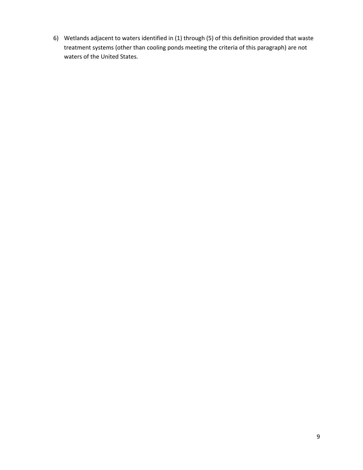6) Wetlands adjacent to waters identified in (1) through (5) of this definition provided that waste treatment systems (other than cooling ponds meeting the criteria of this paragraph) are not waters of the United States.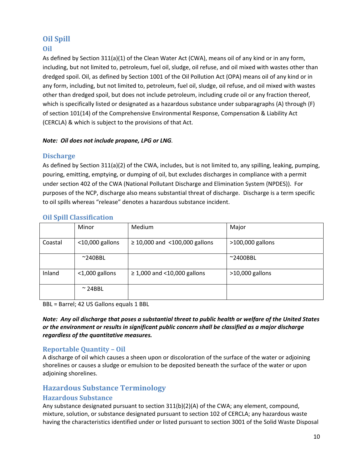# <span id="page-9-0"></span>**Oil Spill**

# **Oil**

As defined by Section 311(a)(1) of the Clean Water Act (CWA), means oil of any kind or in any form, including, but not limited to, petroleum, fuel oil, sludge, oil refuse, and oil mixed with wastes other than dredged spoil. Oil, as defined by Section 1001 of the Oil Pollution Act (OPA) means oil of any kind or in any form, including, but not limited to, petroleum, fuel oil, sludge, oil refuse, and oil mixed with wastes other than dredged spoil, but does not include petroleum, including crude oil or any fraction thereof, which is specifically listed or designated as a hazardous substance under subparagraphs (A) through (F) of section 101(14) of the Comprehensive Environmental Response, Compensation & Liability Act (CERCLA) & which is subject to the provisions of that Act.

#### *Note: Oil does not include propane, LPG or LNG.*

# **Discharge**

As defined by Section 311(a)(2) of the CWA, includes, but is not limited to, any spilling, leaking, pumping, pouring, emitting, emptying, or dumping of oil, but excludes discharges in compliance with a permit under section 402 of the CWA (National Pollutant Discharge and Elimination System (NPDES)). For purposes of the NCP, discharge also means substantial threat of discharge. Discharge is a term specific to oil spills whereas "release" denotes a hazardous substance incident.

|         | Minor              | <b>Medium</b>                      | Major              |
|---------|--------------------|------------------------------------|--------------------|
| Coastal | $<$ 10,000 gallons | $\geq$ 10,000 and <100,000 gallons | >100,000 gallons   |
|         | $^{\sim}$ 240BBL   |                                    | $~^{\sim}$ 2400BBL |
| Inland  | $<$ 1,000 gallons  | $\geq$ 1,000 and < 10,000 gallons  | $>10,000$ gallons  |
|         | $\sim$ 24BBL       |                                    |                    |

#### **Oil Spill Classification**

BBL = Barrel; 42 US Gallons equals 1 BBL

Note: Any oil discharge that poses a substantial threat to public health or welfare of the United States *or the environment or results in significant public concern shall be classified as a major discharge regardless of the quantitative measures.*

# **Reportable Quantity – Oil**

A discharge of oil which causes a sheen upon or discoloration of the surface of the water or adjoining shorelines or causes a sludge or emulsion to be deposited beneath the surface of the water or upon adjoining shorelines.

# **Hazardous Substance Terminology**

# **Hazardous Substance**

Any substance designated pursuant to section 311(b)(2)(A) of the CWA; any element, compound, mixture, solution, or substance designated pursuant to section 102 of CERCLA; any hazardous waste having the characteristics identified under or listed pursuant to section 3001 of the Solid Waste Disposal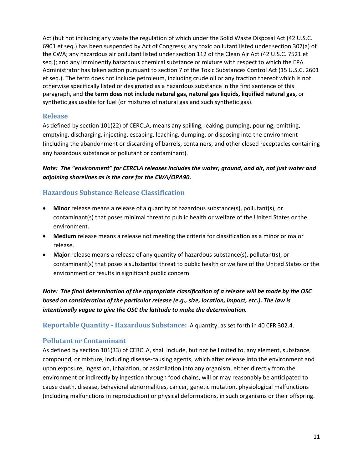<span id="page-10-0"></span>Act (but not including any waste the regulation of which under the Solid Waste Disposal Act (42 U.S.C. 6901 et seq.) has been suspended by Act of Congress); any toxic pollutant listed under section 307(a) of the CWA; any hazardous air pollutant listed under section 112 of the Clean Air Act (42 U.S.C. 7521 et seq.); and any imminently hazardous chemical substance or mixture with respect to which the EPA Administrator has taken action pursuant to section 7 of the Toxic Substances Control Act (15 U.S.C. 2601 et seq.). The term does not include petroleum, including crude oil or any fraction thereof which is not otherwise specifically listed or designated as a hazardous substance in the first sentence of this paragraph, and **the term does not include natural gas, natural gas liquids, liquified natural gas,** or synthetic gas usable for fuel (or mixtures of natural gas and such synthetic gas).

#### **Release**

As defined by section 101(22) of CERCLA, means any spilling, leaking, pumping, pouring, emitting, emptying, discharging, injecting, escaping, leaching, dumping, or disposing into the environment (including the abandonment or discarding of barrels, containers, and other closed receptacles containing any hazardous substance or pollutant or contaminant).

# *Note: The "environment" for CERCLA releases includes the water, ground, and air, not just water and adjoining shorelines as is the case for the CWA/OPA90.*

# **Hazardous Substance Release Classification**

- **Minor** release means a release of a quantity of hazardous substance(s), pollutant(s), or contaminant(s) that poses minimal threat to public health or welfare of the United States or the environment.
- **Medium** release means a release not meeting the criteria for classification as a minor or major release.
- **Major** release means a release of any quantity of hazardous substance(s), pollutant(s), or contaminant(s) that poses a substantial threat to public health or welfare of the United States or the environment or results in significant public concern.

Note: The final determination of the appropriate classification of a release will be made by the OSC *based on consideration of the particular release (e.g., size, location, impact, etc.). The law is intentionally vague to give the OSC the latitude to make the determination.*

**Reportable Quantity Hazardous Substance:** A quantity, as set forth in 40 CFR 302.4.

# **Pollutant or Contaminant**

As defined by section 101(33) of CERCLA, shall include, but not be limited to, any element, substance, compound, or mixture, including disease‐causing agents, which after release into the environment and upon exposure, ingestion, inhalation, or assimilation into any organism, either directly from the environment or indirectly by ingestion through food chains, will or may reasonably be anticipated to cause death, disease, behavioral abnormalities, cancer, genetic mutation, physiological malfunctions (including malfunctions in reproduction) or physical deformations, in such organisms or their offspring.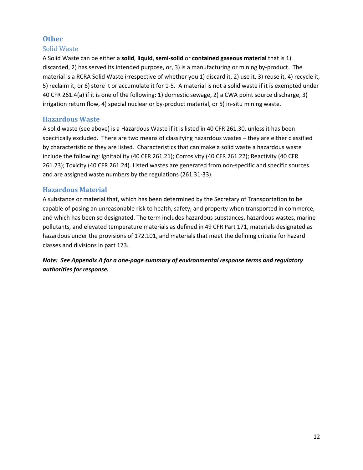# <span id="page-11-0"></span>**Other**

#### Solid Waste

A Solid Waste can be either a **solid**, **liquid**, **semi‐solid** or **contained gaseous material** that is 1) discarded, 2) has served its intended purpose, or, 3) is a manufacturing or mining by‐product. The material is a RCRA Solid Waste irrespective of whether you 1) discard it, 2) use it, 3) reuse it, 4) recycle it, 5) reclaim it, or 6) store it or accumulate it for 1‐5. A material is not a solid waste if it is exempted under 40 CFR 261.4(a) if it is one of the following: 1) domestic sewage, 2) a CWA point source discharge, 3) irrigation return flow, 4) special nuclear or by-product material, or 5) in-situ mining waste.

#### **Hazardous Waste**

A solid waste (see above) is a Hazardous Waste if it is listed in 40 CFR 261.30, unless it has been specifically excluded. There are two means of classifying hazardous wastes – they are either classified by characteristic or they are listed. Characteristics that can make a solid waste a hazardous waste include the following: Ignitability (40 CFR 261.21); Corrosivity (40 CFR 261.22); Reactivity (40 CFR 261.23); Toxicity (40 CFR 261.24). Listed wastes are generated from non‐specific and specific sources and are assigned waste numbers by the regulations (261.31‐33).

#### **Hazardous Material**

A substance or material that, which has been determined by the Secretary of Transportation to be capable of posing an unreasonable risk to health, safety, and property when transported in commerce, and which has been so designated. The term includes hazardous substances, hazardous wastes, marine pollutants, and elevated temperature materials as defined in 49 CFR Part 171, materials designated as hazardous under the provisions of 172.101, and materials that meet the defining criteria for hazard classes and divisions in part 173.

*Note: See Appendix A for a one‐page summary of environmental response terms and regulatory authorities for response.*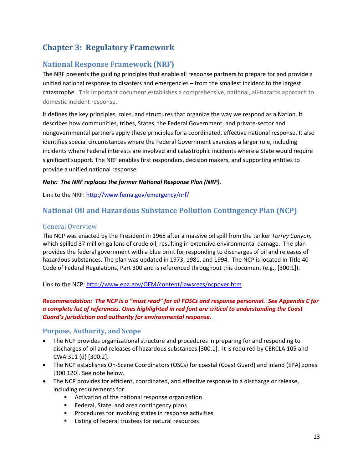# <span id="page-12-0"></span>**Chapter 3: Regulatory Framework**

# **National Response Framework (NRF)**

The NRF presents the guiding principles that enable all response partners to prepare for and provide a unified national response to disasters and emergencies – from the smallest incident to the largest catastrophe. This important document establishes a comprehensive, national, all‐hazards approach to domestic incident response.

It defines the key principles, roles, and structures that organize the way we respond as a Nation. It describes how communities, tribes, States, the Federal Government, and private‐sector and nongovernmental partners apply these principles for a coordinated, effective national response. It also identifies special circumstances where the Federal Government exercises a larger role, including incidents where Federal interests are involved and catastrophic incidents where a State would require significant support. The NRF enables first responders, decision makers, and supporting entities to provide a unified national response.

#### *Note: The NRF replaces the former National Response Plan (NRP).*

Link to the NRF: <http://www.fema.gov/emergency/nrf/>

# **National Oil and Hazardous Substance Pollution Contingency Plan (NCP)**

#### General Overview

The NCP was enacted by the President in 1968 after a massive oil spill from the tanker *Torrey Canyon,* which spilled 37 million gallons of crude oil, resulting in extensive environmental damage. The plan provides the federal government with a blue print for responding to discharges of oil and releases of hazardous substances. The plan was updated in 1973, 1981, and 1994. The NCP is located in Title 40 Code of Federal Regulations, Part 300 and is referenced throughout this document (e.g., [300.1]).

Link to the NCP: <http://www.epa.gov/OEM/content/lawsregs/ncpover.htm>

#### Recommendation: The NCP is a "must read" for all FOSCs and response personnel. See Appendix C for *a complete list of references. Ones highlighted in red font are critical to understanding the Coast Guard's jurisdiction and authority for environmental response.*

#### **Purpose, Authority, and Scope**

- The NCP provides organizational structure and procedures in preparing for and responding to discharges of oil and releases of hazardous substances [300.1]. It is required by CERCLA 105 and CWA 311 (d) [300.2].
- The NCP establishes On-Scene Coordinators (OSCs) for coastal (Coast Guard) and inland (EPA) zones [300.120]. See note below.
- The NCP provides for efficient, coordinated, and effective response to a discharge or release, including requirements for:
	- **EXTERGHTM** Activation of the national response organization
	- **Federal, State, and area contingency plans**
	- **Procedures for involving states in response activities**
	- **EXEC** Listing of federal trustees for natural resources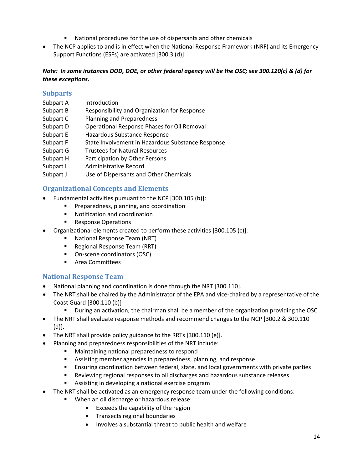- National procedures for the use of dispersants and other chemicals
- <span id="page-13-0"></span>• The NCP applies to and is in effect when the National Response Framework (NRF) and its Emergency Support Functions (ESFs) are activated [300.3 (d)]

#### Note: In some instances DOD, DOE, or other federal agency will be the OSC; see 300.120(c) & (d) for *these exceptions.*

#### **Subparts**

- Subpart A Introduction
- Subpart B Responsibility and Organization for Response
- Subpart C Planning and Preparedness
- Subpart D Operational Response Phases for Oil Removal
- Subpart E Hazardous Substance Response
- Subpart F State Involvement in Hazardous Substance Response
- Subpart G Trustees for Natural Resources
- Subpart H Participation by Other Persons
- Subpart I Administrative Record
- Subpart J Use of Dispersants and Other Chemicals

#### **Organizational Concepts and Elements**

- Fundamental activities pursuant to the NCP [300.105 (b)]:
	- Preparedness, planning, and coordination
	- **Notification and coordination**
	- **Response Operations**
- Organizational elements created to perform these activities [300.105 (c)]:
	- **National Response Team (NRT)**
	- Regional Response Team (RRT)
	- On-scene coordinators (OSC)
	- **E** Area Committees

#### **National Response Team**

- National planning and coordination is done through the NRT [300.110].
- The NRT shall be chaired by the Administrator of the EPA and vice-chaired by a representative of the Coast Guard [300.110 (b)]
	- During an activation, the chairman shall be a member of the organization providing the OSC
- The NRT shall evaluate response methods and recommend changes to the NCP [300.2 & 300.110 (d)].
- The NRT shall provide policy guidance to the RRTs [300.110 (e)].
- Planning and preparedness responsibilities of the NRT include:
	- **Maintaining national preparedness to respond**
	- Assisting member agencies in preparedness, planning, and response
	- **Ensuring coordination between federal, state, and local governments with private parties**
	- Reviewing regional responses to oil discharges and hazardous substance releases
	- Assisting in developing a national exercise program
- The NRT shall be activated as an emergency response team under the following conditions:
	- When an oil discharge or hazardous release:
		- Exceeds the capability of the region
		- Transects regional boundaries
		- Involves a substantial threat to public health and welfare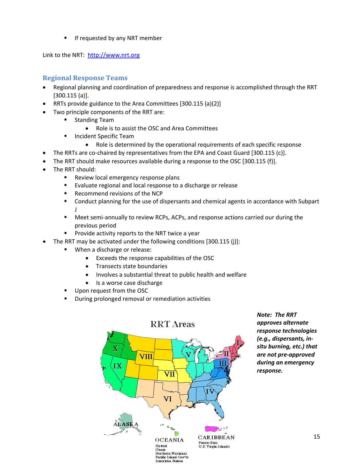**If requested by any NRT member** 

<span id="page-14-0"></span>Link to the NRT: [http://www.nrt.org](http://www.nrt.org/)

# **Regional Response Teams**

- Regional planning and coordination of preparedness and response is accomplished through the RRT [300.115 (a)].
- RRTs provide guidance to the Area Committees [300.115 (a)(2)]
- Two principle components of the RRT are:
	- **Standing Team** 
		- Role is to assist the OSC and Area Committees
	- **Incident Specific Team** 
		- Role is determined by the operational requirements of each specific response
	- The RRTs are co-chaired by representatives from the EPA and Coast Guard [300.115 (c)].
- The RRT should make resources available during a response to the OSC [300.115 (f)].
- The RRT should:
	- Review local emergency response plans
	- **Evaluate regional and local response to a discharge or release**
	- **Recommend revisions of the NCP**
	- Conduct planning for the use of dispersants and chemical agents in accordance with Subpart J
	- Meet semi-annually to review RCPs, ACPs, and response actions carried our during the previous period
	- $\blacksquare$  Provide activity reports to the NRT twice a year
- The RRT may be activated under the following conditions [300.115 (j)]:
	- When a discharge or release:
		- Exceeds the response capabilities of the OSC
		- Transects state boundaries
		- Involves a substantial threat to public health and welfare
		- Is a worse case discharge
	- Upon request from the OSC
	- During prolonged removal or remediation activities



*Note: The RRT approves alternate response technologies (e.g., dispersants, in‐ situ burning, etc.) that are not pre‐approved during an emergency response.*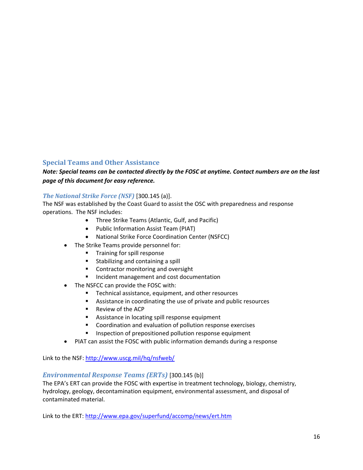# <span id="page-15-0"></span>**Special Teams and Other Assistance**

#### Note: Special teams can be contacted directly by the FOSC at anytime. Contact numbers are on the last *page of this document for easy reference.*

#### *The National Strike Force (NSF)* [300.145 (a)].

The NSF was established by the Coast Guard to assist the OSC with preparedness and response operations. The NSF includes:

- Three Strike Teams (Atlantic, Gulf, and Pacific)
- Public Information Assist Team (PIAT)
- National Strike Force Coordination Center (NSFCC)
- The Strike Teams provide personnel for:
	- **Training for spill response**
	- **Stabilizing and containing a spill**
	- **Contractor monitoring and oversight**
	- **Incident management and cost documentation**
- The NSFCC can provide the FOSC with:
	- **Technical assistance, equipment, and other resources**
	- Assistance in coordinating the use of private and public resources
	- Review of the ACP
	- **Assistance in locating spill response equipment**
	- **EXECOORDINATION COORDINATION** COORDINATION COORDINATION COORDINATION COORDINATION COORDINATION
	- Inspection of prepositioned pollution response equipment
- PIAT can assist the FOSC with public information demands during a response

Link to the NSF: <http://www.uscg.mil/hq/nsfweb/>

#### *Environmental Response Teams (ERTs)* [300.145 (b)]

The EPA's ERT can provide the FOSC with expertise in treatment technology, biology, chemistry, hydrology, geology, decontamination equipment, environmental assessment, and disposal of contaminated material.

Link to the ERT: <http://www.epa.gov/superfund/accomp/news/ert.htm>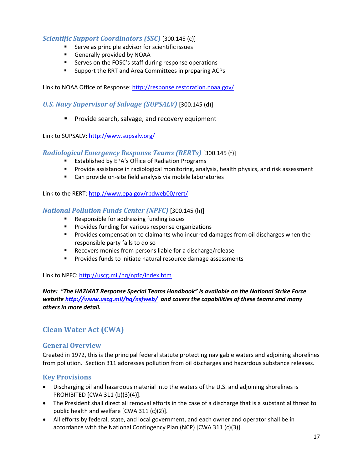#### <span id="page-16-0"></span>*Scientific Support Coordinators (SSC)* [300.145 (c)]

- **Serve as principle advisor for scientific issues**
- Generally provided by NOAA
- Serves on the FOSC's staff during response operations
- **Support the RRT and Area Committees in preparing ACPs**

Link to NOAA Office of Response: <http://response.restoration.noaa.gov/>

*U.S. Navy Supervisor of Salvage (SUPSALV)* [300.145 (d)]

**Provide search, salvage, and recovery equipment** 

Link to SUPSALV: <http://www.supsalv.org/>

#### *Radiological Emergency Response Teams (RERTs)* [300.145 (f)]

- **EXECTADE:** Established by EPA's Office of Radiation Programs
- **Provide assistance in radiological monitoring, analysis, health physics, and risk assessment**
- Can provide on-site field analysis via mobile laboratories

Link to the RERT: <http://www.epa.gov/rpdweb00/rert/>

#### *National Pollution Funds Center (NPFC)* [300.145 (h)]

- **Responsible for addressing funding issues**
- **Provides funding for various response organizations**
- **Provides compensation to claimants who incurred damages from oil discharges when the** responsible party fails to do so
- **Recovers monies from persons liable for a discharge/release**
- **Provides funds to initiate natural resource damage assessments**

Link to NPFC: <http://uscg.mil/hq/npfc/index.htm>

*Note: "The HAZMAT Response Special Teams Handbook" is available on the National Strike Force website <http://www.uscg.mil/hq/nsfweb/> and covers the capabilities of these teams and many others in more detail.*

# **Clean Water Act (CWA)**

#### **General Overview**

Created in 1972, this is the principal federal statute protecting navigable waters and adjoining shorelines from pollution. Section 311 addresses pollution from oil discharges and hazardous substance releases.

#### **Key Provisions**

- Discharging oil and hazardous material into the waters of the U.S. and adjoining shorelines is PROHIBITED [CWA 311 (b)(3)(4)].
- The President shall direct all removal efforts in the case of a discharge that is a substantial threat to public health and welfare [CWA 311 (c)(2)].
- All efforts by federal, state, and local government, and each owner and operator shall be in accordance with the National Contingency Plan (NCP) [CWA 311 (c)(3)].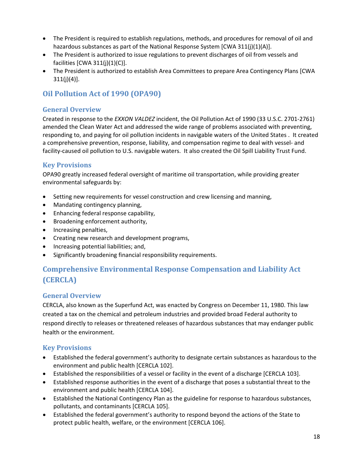- <span id="page-17-0"></span>• The President is required to establish regulations, methods, and procedures for removal of oil and hazardous substances as part of the National Response System [CWA 311(j)(1)(A)].
- The President is authorized to issue regulations to prevent discharges of oil from vessels and facilities  $[CWA 311(j)(1)(C)].$
- The President is authorized to establish Area Committees to prepare Area Contingency Plans [CWA  $311(j)(4)$ ].

# **Oil Pollution Act of 1990 (OPA90)**

# **General Overview**

Created in response to the *EXXON VALDEZ* incident, the Oil Pollution Act of 1990 (33 [U.S.C.](http://www.access.gpo.gov/uscode/title33/chapter40_.html) 2701‐2761) amended the Clean Water Act and addressed the wide range of problems associated with preventing, responding to, and paying for oil pollution incidents in navigable waters of the United States . It created a comprehensive prevention, response, liability, and compensation regime to deal with vessel‐ and facility-caused oil pollution to U.S. navigable waters. It also created the Oil Spill Liability Trust Fund.

# **Key Provisions**

OPA90 greatly increased federal oversight of maritime oil transportation, while providing greater environmental safeguards by:

- Setting new requirements for vessel construction and crew licensing and manning,
- Mandating contingency planning,
- Enhancing federal response capability,
- Broadening enforcement authority,
- Increasing penalties,
- Creating new research and development programs,
- Increasing potential liabilities; and,
- Significantly broadening financial responsibility requirements.

# **Comprehensive Environmental Response Compensation and Liability Act (CERCLA)**

# **General Overview**

CERCLA, also known as the Superfund Act, was enacted by Congress on December 11, 1980. This law created a tax on the chemical and petroleum industries and provided broad Federal authority to respond directly to releases or threatened releases of hazardous substances that may endanger public health or the environment.

# **Key Provisions**

- Established the federal government's authority to designate certain substances as hazardous to the environment and public health [CERCLA 102].
- Established the responsibilities of a vessel or facility in the event of a discharge [CERCLA 103].
- Established response authorities in the event of a discharge that poses a substantial threat to the environment and public health [CERCLA 104].
- Established the National Contingency Plan as the guideline for response to hazardous substances, pollutants, and contaminants [CERCLA 105].
- Established the federal government's authority to respond beyond the actions of the State to protect public health, welfare, or the environment [CERCLA 106].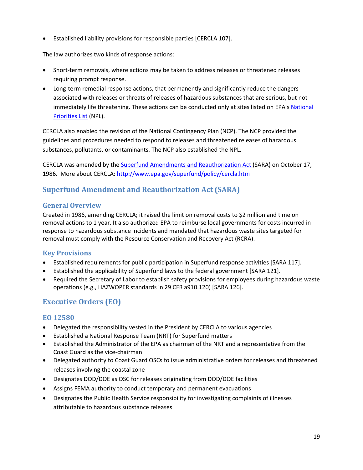<span id="page-18-0"></span>• Established liability provisions for responsible parties [CERCLA 107].

The law authorizes two kinds of response actions:

- Short-term removals, where actions may be taken to address releases or threatened releases requiring prompt response.
- Long-term remedial response actions, that permanently and significantly reduce the dangers associated with releases or threats of releases of hazardous substances that are serious, but not immediately life threatening. These actions can be conducted only at sites listed on EPA's [National](http://www.epa.gov/superfund/sites/npl/index.htm) [Priorities](http://www.epa.gov/superfund/sites/npl/index.htm) List (NPL).

CERCLA also enabled the revision of the National Contingency Plan (NCP). The NCP provided the guidelines and procedures needed to respond to releases and threatened releases of hazardous substances, pollutants, or contaminants. The NCP also established the NPL.

CERCLA was amended by the Superfund Amendments and [Reauthorization](http://www.epa.gov/superfund/policy/sara.htm) Act (SARA) on October 17, 1986. More about CERCLA: <http://www.epa.gov/superfund/policy/cercla.htm>

# **Superfund Amendment and Reauthorization Act (SARA)**

#### **General Overview**

Created in 1986, amending CERCLA; it raised the limit on removal costs to \$2 million and time on removal actions to 1 year. It also authorized EPA to reimburse local governments for costs incurred in response to hazardous substance incidents and mandated that hazardous waste sites targeted for removal must comply with the Resource Conservation and Recovery Act (RCRA).

# **Key Provisions**

- Established requirements for public participation in Superfund response activities [SARA 117].
- Established the applicability of Superfund laws to the federal government [SARA 121].
- Required the Secretary of Labor to establish safety provisions for employees during hazardous waste operations (e.g., HAZWOPER standards in 29 CFR a910.120) [SARA 126].

# **Executive Orders (EO)**

# **EO 12580**

- Delegated the responsibility vested in the President by CERCLA to various agencies
- Established a National Response Team (NRT) for Superfund matters
- Established the Administrator of the EPA as chairman of the NRT and a representative from the Coast Guard as the vice‐chairman
- Delegated authority to Coast Guard OSCs to issue administrative orders for releases and threatened releases involving the coastal zone
- Designates DOD/DOE as OSC for releases originating from DOD/DOE facilities
- Assigns FEMA authority to conduct temporary and permanent evacuations
- Designates the Public Health Service responsibility for investigating complaints of illnesses attributable to hazardous substance releases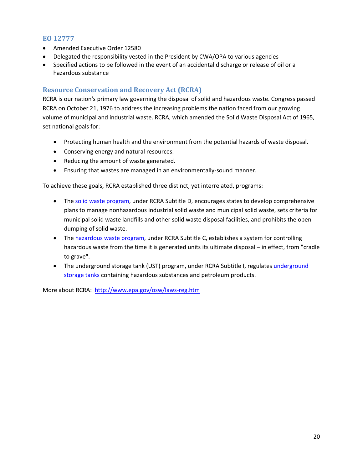#### <span id="page-19-0"></span>**EO 12777**

- Amended Executive Order 12580
- Delegated the responsibility vested in the President by CWA/OPA to various agencies
- Specified actions to be followed in the event of an accidental discharge or release of oil or a hazardous substance

#### **Resource Conservation and Recovery Act (RCRA)**

RCRA is our nation's primary law governing the disposal of solid and hazardous waste. Congress passed RCRA on October 21, 1976 to address the increasing problems the nation faced from our growing volume of municipal and industrial waste. RCRA, which amended the Solid Waste Disposal Act of 1965, set national goals for:

- Protecting human health and the environment from the potential hazards of waste disposal.
- Conserving energy and natural resources.
- Reducing the amount of waste generated.
- Ensuring that wastes are managed in an environmentally‐sound manner.

To achieve these goals, RCRA established three distinct, yet interrelated, programs:

- The solid waste [program,](http://www.epa.gov/epaoswer/osw/non-haz.htm) under RCRA Subtitle D, encourages states to develop comprehensive plans to manage nonhazardous industrial solid waste and municipal solid waste, sets criteria for municipal solid waste landfills and other solid waste disposal facilities, and prohibits the open dumping of solid waste.
- The [hazardous](http://www.epa.gov/epaoswer/osw/hazwaste.htm) waste program, under RCRA Subtitle C, establishes a system for controlling hazardous waste from the time it is generated units its ultimate disposal – in effect, from "cradle to grave".
- The [underground](http://www.epa.gov/swerust1/index.htm) storage tank (UST) program, under RCRA Subtitle I, regulates underground [storage](http://www.epa.gov/swerust1/index.htm) tanks containing hazardous substances and petroleum products.

More about RCRA: [http://www.epa.gov/osw/laws](http://www.epa.gov/osw/laws-reg.htm)‐reg.htm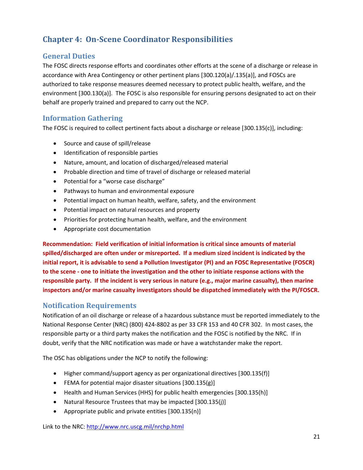# <span id="page-20-0"></span>**Chapter 4: OnScene Coordinator Responsibilities**

# **General Duties**

The FOSC directs response efforts and coordinates other efforts at the scene of a discharge or release in accordance with Area Contingency or other pertinent plans [300.120(a)/.135(a)], and FOSCs are authorized to take response measures deemed necessary to protect public health, welfare, and the environment [300.130(a)]. The FOSC is also responsible for ensuring persons designated to act on their behalf are properly trained and prepared to carry out the NCP.

# **Information Gathering**

The FOSC is required to collect pertinent facts about a discharge or release [300.135(c)], including:

- Source and cause of spill/release
- Identification of responsible parties
- Nature, amount, and location of discharged/released material
- Probable direction and time of travel of discharge or released material
- Potential for a "worse case discharge"
- Pathways to human and environmental exposure
- Potential impact on human health, welfare, safety, and the environment
- Potential impact on natural resources and property
- Priorities for protecting human health, welfare, and the environment
- Appropriate cost documentation

**Recommendation: Field verification of initial information is critical since amounts of material spilled/discharged are often under or misreported. If a medium sized incident is indicated by the initial report, it is advisable to send a Pollution Investigator (PI) and an FOSC Representative (FOSCR)** to the scene - one to initiate the investigation and the other to initiate response actions with the **responsible party. If the incident is very serious in nature (e.g., major marine casualty), then marine inspectors and/or marine casualty investigators should be dispatched immediately with the PI/FOSCR.**

# **Notification Requirements**

Notification of an oil discharge or release of a hazardous substance must be reported immediately to the National Response Center (NRC) (800) 424‐8802 as per 33 CFR 153 and 40 CFR 302. In most cases, the responsible party or a third party makes the notification and the FOSC is notified by the NRC. If in doubt, verify that the NRC notification was made or have a watchstander make the report.

The OSC has obligations under the NCP to notify the following:

- Higher command/support agency as per organizational directives [300.135(f)]
- FEMA for potential major disaster situations [300.135(g)]
- Health and Human Services (HHS) for public health emergencies [300.135(h)]
- Natural Resource Trustees that may be impacted [300.135(j)]
- Appropriate public and private entities [300.135(n)]

Link to the NRC: <http://www.nrc.uscg.mil/nrchp.html>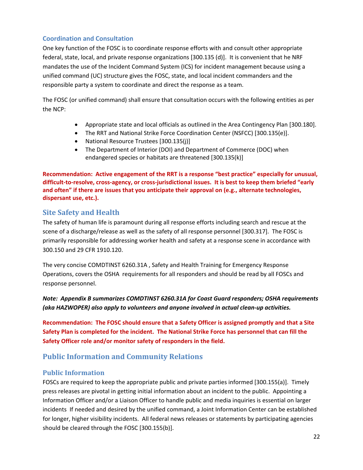#### <span id="page-21-0"></span>**Coordination and Consultation**

One key function of the FOSC is to coordinate response efforts with and consult other appropriate federal, state, local, and private response organizations [300.135 (d)]. It is convenient that he NRF mandates the use of the Incident Command System (ICS) for incident management because using a unified command (UC) structure gives the FOSC, state, and local incident commanders and the responsible party a system to coordinate and direct the response as a team.

The FOSC (or unified command) shall ensure that consultation occurs with the following entities as per the NCP:

- Appropriate state and local officials as outlined in the Area Contingency Plan [300.180].
- The RRT and National Strike Force Coordination Center (NSFCC) [300.135(e)].
- National Resource Trustees [300.135(j)]
- The Department of Interior (DOI) and Department of Commerce (DOC) when endangered species or habitats are threatened [300.135(k)]

**Recommendation: Active engagement of the RRT is a response "best practice" especially for unusual,** difficult-to-resolve, cross-agency, or cross-jurisdictional issues. It is best to keep them briefed "early **and often" if there are issues that you anticipate their approval on (e.g., alternate technologies, dispersant use, etc.).**

# **Site Safety and Health**

The safety of human life is paramount during all response efforts including search and rescue at the scene of a discharge/release as well as the safety of all response personnel [300.317]. The FOSC is primarily responsible for addressing worker health and safety at a response scene in accordance with 300.150 and 29 CFR 1910.120.

The very concise COMDTINST 6260.31A , Safety and Health Training for Emergency Response Operations, covers the OSHA requirements for all responders and should be read by all FOSCs and response personnel.

*Note: Appendix B summarizes COMDTINST 6260.31A for Coast Guard responders; OSHA requirements (aka HAZWOPER) also apply to volunteers and anyone involved in actual clean‐up activities.*

**Recommendation: The FOSC should ensure that a Safety Officer is assigned promptly and that a Site** Safety Plan is completed for the incident. The National Strike Force has personnel that can fill the **Safety Officer role and/or monitor safety of responders in the field.**

# **Public Information and Community Relations**

#### **Public Information**

FOSCs are required to keep the appropriate public and private parties informed [300.155(a)]. Timely press releases are pivotal in getting initial information about an incident to the public. Appointing a Information Officer and/or a Liaison Officer to handle public and media inquiries is essential on larger incidents If needed and desired by the unified command, a Joint Information Center can be established for longer, higher visibility incidents. All federal news releases or statements by participating agencies should be cleared through the FOSC [300.155(b)].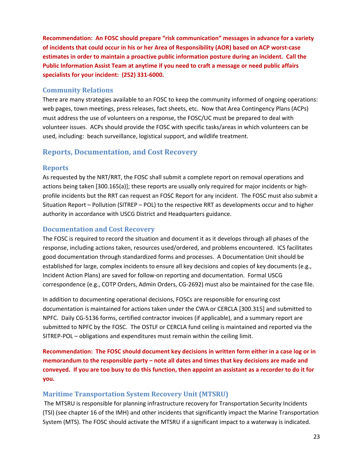<span id="page-22-0"></span>**Recommendation: An FOSC should prepare "risk communication" messages in advance for a variety** of incidents that could occur in his or her Area of Responsibility (AOR) based on ACP worst-case **estimates in order to maintain a proactive public information posture during an incident. Call the Public Information Assist Team at anytime if you need to craft a message or need public affairs specialists for your incident: (252) 331‐6000.**

#### **Community Relations**

There are many strategies available to an FOSC to keep the community informed of ongoing operations: web pages, town meetings, press releases, fact sheets, etc. Now that Area Contingency Plans (ACPs) must address the use of volunteers on a response, the FOSC/UC must be prepared to deal with volunteer issues. ACPs should provide the FOSC with specific tasks/areas in which volunteers can be used, including: beach surveillance, logistical support, and wildlife treatment.

# **Reports, Documentation, and Cost Recovery**

#### **Reports**

As requested by the NRT/RRT, the FOSC shall submit a complete report on removal operations and actions being taken [300.165(a)]; these reports are usually only required for major incidents or high‐ profile incidents but the RRT can request an FOSC Report for any incident. The FOSC must also submit a Situation Report – Pollution (SITREP – POL) to the respective RRT as developments occur and to higher authority in accordance with USCG District and Headquarters guidance.

#### **Documentation and Cost Recovery**

The FOSC is required to record the situation and document it as it develops through all phases of the response, including actions taken, resources used/ordered, and problems encountered. ICS facilitates good documentation through standardized forms and processes. A Documentation Unit should be established for large, complex incidents to ensure all key decisions and copies of key documents (e.g., Incident Action Plans) are saved for follow‐on reporting and documentation. Formal USCG correspondence (e.g., COTP Orders, Admin Orders, CG‐2692) must also be maintained for the case file.

In addition to documenting operational decisions, FOSCs are responsible for ensuring cost documentation is maintained for actions taken under the CWA or CERCLA [300.315] and submitted to NPFC. Daily CG‐5136 forms, certified contractor invoices (if applicable), and a summary report are submitted to NPFC by the FOSC. The OSTLF or CERCLA fund ceiling is maintained and reported via the SITREP-POL – obligations and expenditures must remain within the ceiling limit.

**Recommendation: The FOSC should document key decisions in written form either in a case log or in memorandum to the responsible party – note all dates and times that key decisions are made and** conveyed. If you are too busy to do this function, then appoint an assistant as a recorder to do it for **you.**

# **Maritime Transportation System Recovery Unit (MTSRU)**

The MTSRU is responsible for planning infrastructure recovery for Transportation Security Incidents (TSI) (see chapter 16 of the IMH) and other incidents that significantly impact the Marine Transportation System (MTS). The FOSC should activate the MTSRU if a significant impact to a waterway is indicated.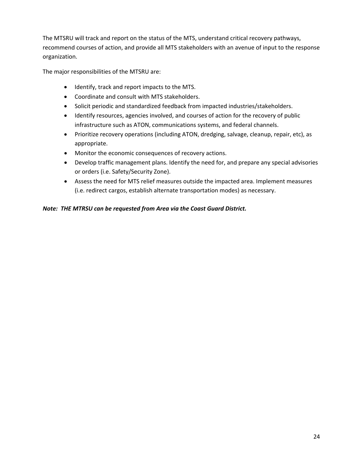The MTSRU will track and report on the status of the MTS, understand critical recovery pathways, recommend courses of action, and provide all MTS stakeholders with an avenue of input to the response organization.

The major responsibilities of the MTSRU are:

- Identify, track and report impacts to the MTS.
- Coordinate and consult with MTS stakeholders.
- Solicit periodic and standardized feedback from impacted industries/stakeholders.
- Identify resources, agencies involved, and courses of action for the recovery of public infrastructure such as ATON, communications systems, and federal channels.
- Prioritize recovery operations (including ATON, dredging, salvage, cleanup, repair, etc), as appropriate.
- Monitor the economic consequences of recovery actions.
- Develop traffic management plans. Identify the need for, and prepare any special advisories or orders (i.e. Safety/Security Zone).
- Assess the need for MTS relief measures outside the impacted area. Implement measures (i.e. redirect cargos, establish alternate transportation modes) as necessary.

#### *Note: THE MTRSU can be requested from Area via the Coast Guard District.*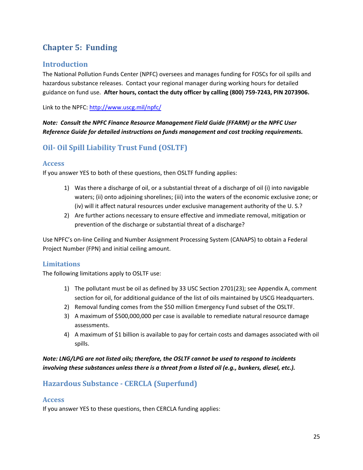# <span id="page-24-0"></span>**Chapter 5: Funding**

# **Introduction**

The National Pollution Funds Center (NPFC) oversees and manages funding for FOSCs for oil spills and hazardous substance releases. Contact your regional manager during working hours for detailed guidance on fund use. **After hours, contact the duty officer by calling (800) 759‐7243, PIN 2073906.**

Link to the NPFC: <http://www.uscg.mil/npfc/>

*Note: Consult the NPFC Finance Resource Management Field Guide (FFARM) or the NPFC User Reference Guide for detailed instructions on funds management and cost tracking requirements.*

# **Oil Oil Spill Liability Trust Fund (OSLTF)**

# **Access**

If you answer YES to both of these questions, then OSLTF funding applies:

- 1) Was there a discharge of oil, or a substantial threat of a discharge of oil (i) into navigable waters; (ii) onto adjoining shorelines; (iii) into the waters of the economic exclusive zone; or (iv) will it affect natural resources under exclusive management authority of the U. S.?
- 2) Are further actions necessary to ensure effective and immediate removal, mitigation or prevention of the discharge or substantial threat of a discharge?

Use NPFC's on‐line Ceiling and Number Assignment Processing System (CANAPS) to obtain a Federal Project Number (FPN) and initial ceiling amount.

# **Limitations**

The following limitations apply to OSLTF use:

- 1) The pollutant must be oil as defined by 33 USC Section 2701(23); see Appendix A, comment section for oil, for additional guidance of the list of oils maintained by USCG Headquarters.
- 2) Removal funding comes from the \$50 million Emergency Fund subset of the OSLTF.
- 3) A maximum of \$500,000,000 per case is available to remediate natural resource damage assessments.
- 4) A maximum of \$1 billion is available to pay for certain costs and damages associated with oil spills.

# *Note: LNG/LPG are not listed oils; therefore, the OSLTF cannot be used to respond to incidents involving these substances unless there is a threat from a listed oil (e.g., bunkers, diesel, etc.).*

# **Hazardous Substance CERCLA (Superfund)**

# **Access**

If you answer YES to these questions, then CERCLA funding applies: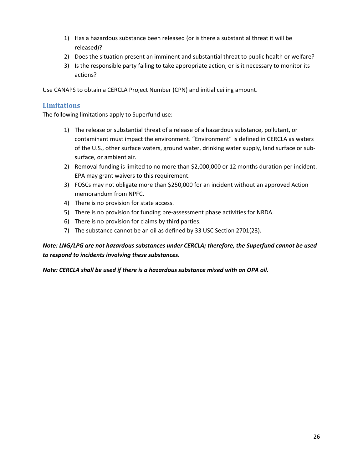- <span id="page-25-0"></span>1) Has a hazardous substance been released (or is there a substantial threat it will be released)?
- 2) Does the situation present an imminent and substantial threat to public health or welfare?
- 3) Is the responsible party failing to take appropriate action, or is it necessary to monitor its actions?

Use CANAPS to obtain a CERCLA Project Number (CPN) and initial ceiling amount.

#### **Limitations**

The following limitations apply to Superfund use:

- 1) The release or substantial threat of a release of a hazardous substance, pollutant, or contaminant must impact the environment. "Environment" is defined in CERCLA as waters of the U.S., other surface waters, ground water, drinking water supply, land surface or sub‐ surface, or ambient air.
- 2) Removal funding is limited to no more than \$2,000,000 or 12 months duration per incident. EPA may grant waivers to this requirement.
- 3) FOSCs may not obligate more than \$250,000 for an incident without an approved Action memorandum from NPFC.
- 4) There is no provision for state access.
- 5) There is no provision for funding pre‐assessment phase activities for NRDA.
- 6) There is no provision for claims by third parties.
- 7) The substance cannot be an oil as defined by 33 USC Section 2701(23).

#### *Note: LNG/LPG are not hazardous substances under CERCLA; therefore, the Superfund cannot be used to respond to incidents involving these substances.*

*Note: CERCLA shall be used if there is a hazardous substance mixed with an OPA oil.*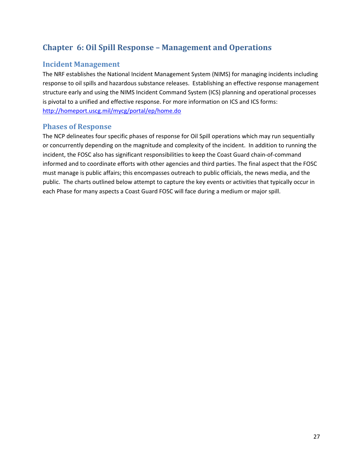# <span id="page-26-0"></span>**Chapter 6: Oil Spill Response – Management and Operations**

# **Incident Management**

The NRF establishes the National Incident Management System (NIMS) for managing incidents including response to oil spills and hazardous substance releases. Establishing an effective response management structure early and using the NIMS Incident Command System (ICS) planning and operational processes is pivotal to a unified and effective response. For more information on ICS and ICS forms: <http://homeport.uscg.mil/mycg/portal/ep/home.do>

# **Phases of Response**

The NCP delineates four specific phases of response for Oil Spill operations which may run sequentially or concurrently depending on the magnitude and complexity of the incident. In addition to running the incident, the FOSC also has significant responsibilities to keep the Coast Guard chain‐of‐command informed and to coordinate efforts with other agencies and third parties. The final aspect that the FOSC must manage is public affairs; this encompasses outreach to public officials, the news media, and the public. The charts outlined below attempt to capture the key events or activities that typically occur in each Phase for many aspects a Coast Guard FOSC will face during a medium or major spill.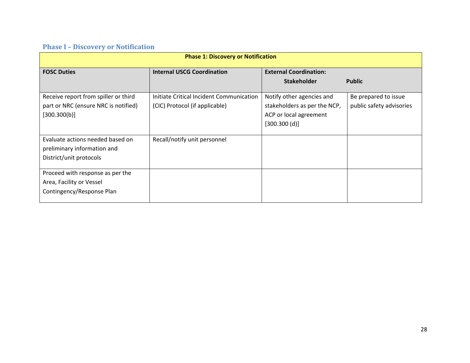#### **Phase I – Discovery or Notification**

<span id="page-27-0"></span>

| <b>Phase 1: Discovery or Notification</b> |                                          |                                                     |                          |  |
|-------------------------------------------|------------------------------------------|-----------------------------------------------------|--------------------------|--|
| <b>FOSC Duties</b>                        | <b>Internal USCG Coordination</b>        | <b>External Coordination:</b><br><b>Stakeholder</b> | <b>Public</b>            |  |
|                                           |                                          |                                                     |                          |  |
| Receive report from spiller or third      | Initiate Critical Incident Communication | Notify other agencies and                           | Be prepared to issue     |  |
| part or NRC (ensure NRC is notified)      | (CIC) Protocol (if applicable)           | stakeholders as per the NCP,                        | public safety advisories |  |
| [300.300(b)]                              |                                          | ACP or local agreement                              |                          |  |
|                                           |                                          | [300.300(d)]                                        |                          |  |
|                                           |                                          |                                                     |                          |  |
| Evaluate actions needed based on          | Recall/notify unit personnel             |                                                     |                          |  |
| preliminary information and               |                                          |                                                     |                          |  |
| District/unit protocols                   |                                          |                                                     |                          |  |
| Proceed with response as per the          |                                          |                                                     |                          |  |
| Area, Facility or Vessel                  |                                          |                                                     |                          |  |
| Contingency/Response Plan                 |                                          |                                                     |                          |  |
|                                           |                                          |                                                     |                          |  |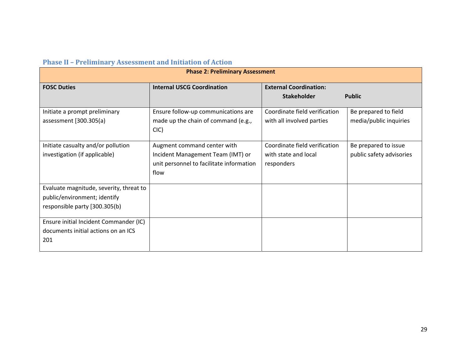| <b>Phase II - Preliminary Assessment and Initiation of Action</b> |  |  |
|-------------------------------------------------------------------|--|--|
|                                                                   |  |  |

<span id="page-28-0"></span>

| <b>Phase 2: Preliminary Assessment</b>  |                                          |                               |                          |  |
|-----------------------------------------|------------------------------------------|-------------------------------|--------------------------|--|
| <b>FOSC Duties</b>                      | <b>Internal USCG Coordination</b>        | <b>External Coordination:</b> |                          |  |
|                                         |                                          | <b>Stakeholder</b>            | <b>Public</b>            |  |
| Initiate a prompt preliminary           | Ensure follow-up communications are      | Coordinate field verification | Be prepared to field     |  |
| assessment [300.305(a)                  | made up the chain of command (e.g.,      | with all involved parties     | media/public inquiries   |  |
|                                         | ClC                                      |                               |                          |  |
| Initiate casualty and/or pollution      | Augment command center with              | Coordinate field verification | Be prepared to issue     |  |
| investigation (if applicable)           | Incident Management Team (IMT) or        | with state and local          | public safety advisories |  |
|                                         | unit personnel to facilitate information | responders                    |                          |  |
|                                         | flow                                     |                               |                          |  |
| Evaluate magnitude, severity, threat to |                                          |                               |                          |  |
| public/environment; identify            |                                          |                               |                          |  |
| responsible party [300.305(b)           |                                          |                               |                          |  |
|                                         |                                          |                               |                          |  |
| Ensure initial Incident Commander (IC)  |                                          |                               |                          |  |
| documents initial actions on an ICS     |                                          |                               |                          |  |
| 201                                     |                                          |                               |                          |  |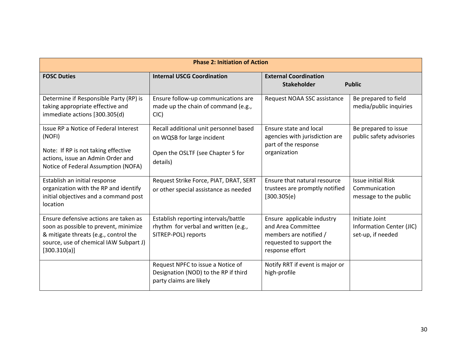| <b>Phase 2: Initiation of Action</b>                                                                                                                                              |                                                                                                                       |                                                                                                                           |                                                                     |  |
|-----------------------------------------------------------------------------------------------------------------------------------------------------------------------------------|-----------------------------------------------------------------------------------------------------------------------|---------------------------------------------------------------------------------------------------------------------------|---------------------------------------------------------------------|--|
| <b>FOSC Duties</b>                                                                                                                                                                | <b>Internal USCG Coordination</b>                                                                                     | <b>External Coordination</b><br><b>Stakeholder</b>                                                                        | <b>Public</b>                                                       |  |
| Determine if Responsible Party (RP) is<br>taking appropriate effective and<br>immediate actions [300.305(d)                                                                       | Ensure follow-up communications are<br>made up the chain of command (e.g.,<br>ClC                                     | Request NOAA SSC assistance                                                                                               | Be prepared to field<br>media/public inquiries                      |  |
| Issue RP a Notice of Federal Interest<br>(NOFI)<br>Note: If RP is not taking effective<br>actions, issue an Admin Order and<br>Notice of Federal Assumption (NOFA)                | Recall additional unit personnel based<br>on WQSB for large incident<br>Open the OSLTF (see Chapter 5 for<br>details) | Ensure state and local<br>agencies with jurisdiction are<br>part of the response<br>organization                          | Be prepared to issue<br>public safety advisories                    |  |
| Establish an initial response<br>organization with the RP and identify<br>initial objectives and a command post<br>location                                                       | Request Strike Force, PIAT, DRAT, SERT<br>or other special assistance as needed                                       | Ensure that natural resource<br>trustees are promptly notified<br>[300.305(e)]                                            | <b>Issue initial Risk</b><br>Communication<br>message to the public |  |
| Ensure defensive actions are taken as<br>soon as possible to prevent, minimize<br>& mitigate threats (e.g., control the<br>source, use of chemical IAW Subpart J)<br>[300.310(a)] | Establish reporting intervals/battle<br>rhythm for verbal and written (e.g.,<br>SITREP-POL) reports                   | Ensure applicable industry<br>and Area Committee<br>members are notified /<br>requested to support the<br>response effort | Initiate Joint<br>Information Center (JIC)<br>set-up, if needed     |  |
|                                                                                                                                                                                   | Request NPFC to issue a Notice of<br>Designation (NOD) to the RP if third<br>party claims are likely                  | Notify RRT if event is major or<br>high-profile                                                                           |                                                                     |  |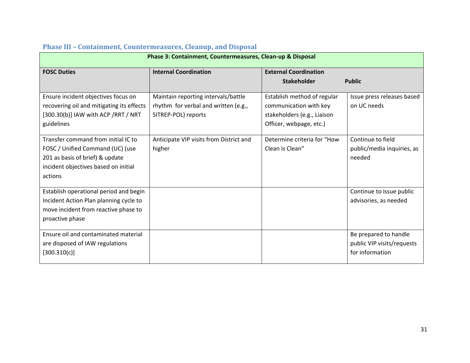<span id="page-30-0"></span>

| Phase 3: Containment, Countermeasures, Clean-up & Disposal                                                                                                    |                                                                                                    |                                                                                                                 |                                                                        |  |
|---------------------------------------------------------------------------------------------------------------------------------------------------------------|----------------------------------------------------------------------------------------------------|-----------------------------------------------------------------------------------------------------------------|------------------------------------------------------------------------|--|
| <b>FOSC Duties</b>                                                                                                                                            | <b>Internal Coordination</b>                                                                       | <b>External Coordination</b>                                                                                    |                                                                        |  |
|                                                                                                                                                               |                                                                                                    | <b>Stakeholder</b>                                                                                              | <b>Public</b>                                                          |  |
| Ensure incident objectives focus on<br>recovering oil and mitigating its effects<br>[300.30(b)] IAW with ACP /RRT / NRT<br>guidelines                         | Maintain reporting intervals/battle<br>rhythm for verbal and written (e.g.,<br>SITREP-POL) reports | Establish method of regular<br>communication with key<br>stakeholders (e.g., Liaison<br>Officer, webpage, etc.) | Issue press releases based<br>on UC needs                              |  |
| Transfer command from initial IC to<br>FOSC / Unified Command (UC) (use<br>201 as basis of brief) & update<br>incident objectives based on initial<br>actions | Anticipate VIP visits from District and<br>higher                                                  | Determine criteria for "How<br>Clean is Clean"                                                                  | Continue to field<br>public/media inquiries, as<br>needed              |  |
| Establish operational period and begin<br>Incident Action Plan planning cycle to<br>move incident from reactive phase to<br>proactive phase                   |                                                                                                    |                                                                                                                 | Continue to issue public<br>advisories, as needed                      |  |
| Ensure oil and contaminated material<br>are disposed of IAW regulations<br>[300.310(c)]                                                                       |                                                                                                    |                                                                                                                 | Be prepared to handle<br>public VIP visits/requests<br>for information |  |

#### **Phase III – Containment, Countermeasures, Cleanup, and Disposal**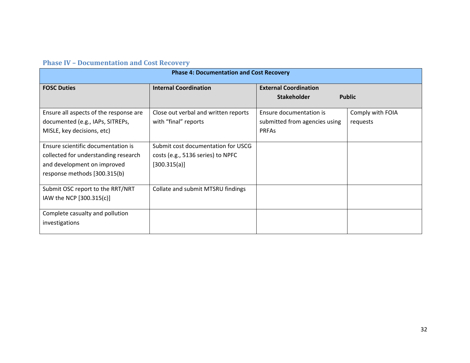#### **Phase IV – Documentation and Cost Recovery**

<span id="page-31-0"></span>

| <b>Phase 4: Documentation and Cost Recovery</b> |                                      |                               |                  |  |
|-------------------------------------------------|--------------------------------------|-------------------------------|------------------|--|
| <b>FOSC Duties</b>                              | <b>Internal Coordination</b>         | <b>External Coordination</b>  |                  |  |
|                                                 |                                      | <b>Stakeholder</b>            | <b>Public</b>    |  |
| Ensure all aspects of the response are          | Close out verbal and written reports | Ensure documentation is       | Comply with FOIA |  |
| documented (e.g., IAPs, SITREPs,                | with "final" reports                 | submitted from agencies using | requests         |  |
| MISLE, key decisions, etc)                      |                                      | <b>PRFAs</b>                  |                  |  |
| Ensure scientific documentation is              | Submit cost documentation for USCG   |                               |                  |  |
| collected for understanding research            | costs (e.g., 5136 series) to NPFC    |                               |                  |  |
| and development on improved                     | [300.315(a)]                         |                               |                  |  |
| response methods [300.315(b)                    |                                      |                               |                  |  |
| Submit OSC report to the RRT/NRT                | Collate and submit MTSRU findings    |                               |                  |  |
| IAW the NCP [300.315(c)]                        |                                      |                               |                  |  |
| Complete casualty and pollution                 |                                      |                               |                  |  |
| investigations                                  |                                      |                               |                  |  |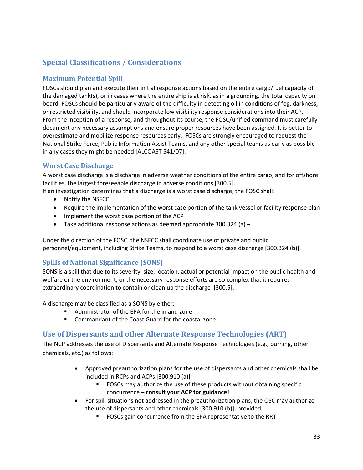# <span id="page-32-0"></span>**Special Classifications / Considerations**

# **Maximum Potential Spill**

FOSCs should plan and execute their initial response actions based on the entire cargo/fuel capacity of the damaged tank(s), or in cases where the entire ship is at risk, as in a grounding, the total capacity on board. FOSCs should be particularly aware of the difficulty in detecting oil in conditions of fog, darkness, or restricted visibility, and should incorporate low visibility response considerations into their ACP. From the inception of a response, and throughout its course, the FOSC/unified command must carefully document any necessary assumptions and ensure proper resources have been assigned. It is better to overestimate and mobilize response resources early. FOSCs are strongly encouraged to request the National Strike Force, Public Information Assist Teams, and any other special teams as early as possible in any cases they might be needed [ALCOAST 541/07].

#### **Worst Case Discharge**

A worst case discharge is a discharge in adverse weather conditions of the entire cargo, and for offshore facilities, the largest foreseeable discharge in adverse conditions [300.5].

If an investigation determines that a discharge is a worst case discharge, the FOSC shall:

- Notify the NSFCC
- Require the implementation of the worst case portion of the tank vessel or facility response plan
- Implement the worst case portion of the ACP
- Take additional response actions as deemed appropriate 300.324 (a) –

Under the direction of the FOSC, the NSFCC shall coordinate use of private and public personnel/equipment, including Strike Teams, to respond to a worst case discharge [300.324 (b)].

# **Spills of National Significance (SONS)**

SONS is a spill that due to its severity, size, location, actual or potential impact on the public health and welfare or the environment, or the necessary response efforts are so complex that it requires extraordinary coordination to contain or clean up the discharge [300.5].

A discharge may be classified as a SONS by either:

- Administrator of the EPA for the inland zone
- Commandant of the Coast Guard for the coastal zone

# **Use of Dispersants and other Alternate Response Technologies (ART)**

The NCP addresses the use of Dispersants and Alternate Response Technologies (e.g., burning, other chemicals, etc.) as follows:

- Approved preauthorization plans for the use of dispersants and other chemicals shall be included in RCPs and ACPs [300.910 (a)]
	- FOSCs may authorize the use of these products without obtaining specific concurrence – **consult your ACP for guidance!**
- For spill situations not addressed in the preauthorization plans, the OSC may authorize the use of dispersants and other chemicals [300.910 (b)], provided:
	- FOSCs gain concurrence from the EPA representative to the RRT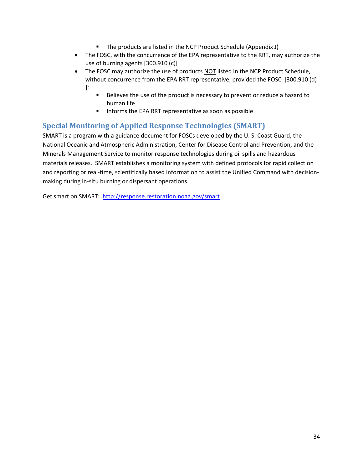- The products are listed in the NCP Product Schedule (Appendix J)
- <span id="page-33-0"></span>• The FOSC, with the concurrence of the EPA representative to the RRT, may authorize the use of burning agents [300.910 (c)]
- The FOSC may authorize the use of products NOT listed in the NCP Product Schedule, without concurrence from the EPA RRT representative, provided the FOSC [300.910 (d) ]:
	- Believes the use of the product is necessary to prevent or reduce a hazard to human life
	- Informs the EPA RRT representative as soon as possible

# **Special Monitoring of Applied Response Technologies (SMART)**

SMART is a program with a guidance document for FOSCs developed by the U. S. Coast Guard, the National Oceanic and Atmospheric Administration, Center for Disease Control and Prevention, and the Minerals Management Service to monitor response technologies during oil spills and hazardous materials releases. SMART establishes a monitoring system with defined protocols for rapid collection and reporting or real-time, scientifically based information to assist the Unified Command with decisionmaking during in‐situ burning or dispersant operations.

Get smart on SMART: <http://response.restoration.noaa.gov/smart>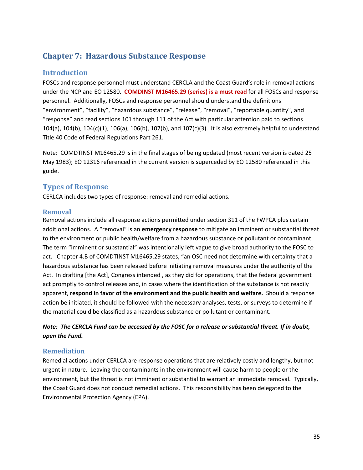# <span id="page-34-0"></span>**Chapter 7: Hazardous Substance Response**

# **Introduction**

FOSCs and response personnel must understand CERCLA and the Coast Guard's role in removal actions under the NCP and EO 12580. **COMDINST M16465.29 (series) is a must read** for all FOSCs and response personnel. Additionally, FOSCs and response personnel should understand the definitions "environment", "facility", "hazardous substance", "release", "removal", "reportable quantity", and "response" and read sections 101 through 111 of the Act with particular attention paid to sections 104(a), 104(b), 104(c)(1), 106(a), 106(b), 107(b), and 107(c)(3). It is also extremely helpful to understand Title 40 Code of Federal Regulations Part 261.

Note: COMDTINST M16465.29 is in the final stages of being updated (most recent version is dated 25 May 1983); EO 12316 referenced in the current version is superceded by EO 12580 referenced in this guide.

# **Types of Response**

CERLCA includes two types of response: removal and remedial actions.

#### **Removal**

Removal actions include all response actions permitted under section 311 of the FWPCA plus certain additional actions. A "removal" is an **emergency response** to mitigate an imminent or substantial threat to the environment or public health/welfare from a hazardous substance or pollutant or contaminant. The term "imminent or substantial" was intentionally left vague to give broad authority to the FOSC to act. Chapter 4.B of COMDTINST M16465.29 states, "an OSC need not determine with certainty that a hazardous substance has been released before initiating removal measures under the authority of the Act. In drafting [the Act], Congress intended , as they did for operations, that the federal government act promptly to control releases and, in cases where the identification of the substance is not readily apparent, **respond in favor of the environment and the public health and welfare.** Should a response action be initiated, it should be followed with the necessary analyses, tests, or surveys to determine if the material could be classified as a hazardous substance or pollutant or contaminant.

# Note: The CERCLA Fund can be accessed by the FOSC for a release or substantial threat. If in doubt, *open the Fund.*

# **Remediation**

Remedial actions under CERLCA are response operations that are relatively costly and lengthy, but not urgent in nature. Leaving the contaminants in the environment will cause harm to people or the environment, but the threat is not imminent or substantial to warrant an immediate removal. Typically, the Coast Guard does not conduct remedial actions. This responsibility has been delegated to the Environmental Protection Agency (EPA).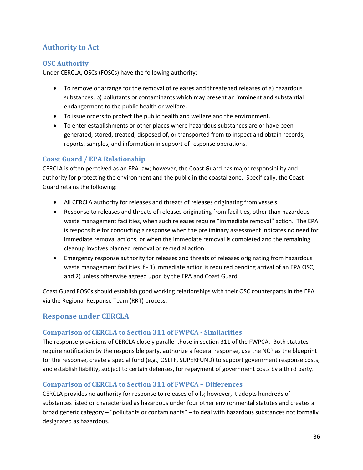# <span id="page-35-0"></span>**Authority to Act**

# **OSC Authority**

Under CERCLA, OSCs (FOSCs) have the following authority:

- To remove or arrange for the removal of releases and threatened releases of a) hazardous substances, b) pollutants or contaminants which may present an imminent and substantial endangerment to the public health or welfare.
- To issue orders to protect the public health and welfare and the environment.
- To enter establishments or other places where hazardous substances are or have been generated, stored, treated, disposed of, or transported from to inspect and obtain records, reports, samples, and information in support of response operations.

# **Coast Guard / EPA Relationship**

CERCLA is often perceived as an EPA law; however, the Coast Guard has major responsibility and authority for protecting the environment and the public in the coastal zone. Specifically, the Coast Guard retains the following:

- All CERCLA authority for releases and threats of releases originating from vessels
- Response to releases and threats of releases originating from facilities, other than hazardous waste management facilities, when such releases require "immediate removal" action. The EPA is responsible for conducting a response when the preliminary assessment indicates no need for immediate removal actions, or when the immediate removal is completed and the remaining cleanup involves planned removal or remedial action.
- Emergency response authority for releases and threats of releases originating from hazardous waste management facilities if - 1) immediate action is required pending arrival of an EPA OSC, and 2) unless otherwise agreed upon by the EPA and Coast Guard.

Coast Guard FOSCs should establish good working relationships with their OSC counterparts in the EPA via the Regional Response Team (RRT) process.

# **Response under CERCLA**

# **Comparison of CERCLA to Section 311 of FWPCA Similarities**

The response provisions of CERCLA closely parallel those in section 311 of the FWPCA. Both statutes require notification by the responsible party, authorize a federal response, use the NCP as the blueprint for the response, create a special fund (e.g., OSLTF, SUPERFUND) to support government response costs, and establish liability, subject to certain defenses, for repayment of government costs by a third party.

# **Comparison of CERCLA to Section 311 of FWPCA – Differences**

CERCLA provides no authority for response to releases of oils; however, it adopts hundreds of substances listed or characterized as hazardous under four other environmental statutes and creates a broad generic category – "pollutants or contaminants" – to deal with hazardous substances not formally designated as hazardous.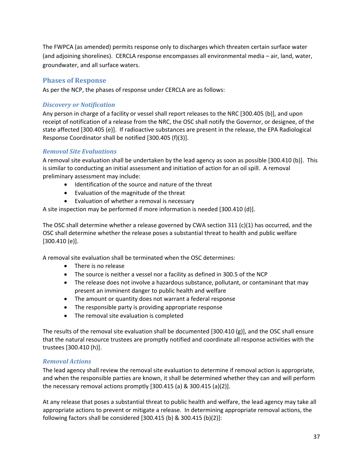<span id="page-36-0"></span>The FWPCA (as amended) permits response only to discharges which threaten certain surface water (and adjoining shorelines). CERCLA response encompasses all environmental media – air, land, water, groundwater, and all surface waters.

# **Phases of Response**

As per the NCP, the phases of response under CERCLA are as follows:

# *Discovery or Notification*

Any person in charge of a facility or vessel shall report releases to the NRC [300.405 (b)], and upon receipt of notification of a release from the NRC, the OSC shall notify the Governor, or designee, of the state affected [300.405 (e)]. If radioactive substances are present in the release, the EPA Radiological Response Coordinator shall be notified [300.405 (f)(3)].

# *Removal Site Evaluations*

A removal site evaluation shall be undertaken by the lead agency as soon as possible [300.410 (b)]. This is similar to conducting an initial assessment and initiation of action for an oil spill. A removal preliminary assessment may include:

- Identification of the source and nature of the threat
- Evaluation of the magnitude of the threat
- Evaluation of whether a removal is necessary

A site inspection may be performed if more information is needed [300.410 (d)].

The OSC shall determine whether a release governed by CWA section 311 (c)(1) has occurred, and the OSC shall determine whether the release poses a substantial threat to health and public welfare [300.410 (e)].

A removal site evaluation shall be terminated when the OSC determines:

- There is no release
- The source is neither a vessel nor a facility as defined in 300.5 of the NCP
- The release does not involve a hazardous substance, pollutant, or contaminant that may present an imminent danger to public health and welfare
- The amount or quantity does not warrant a federal response
- The responsible party is providing appropriate response
- The removal site evaluation is completed

The results of the removal site evaluation shall be documented [300.410 (g)], and the OSC shall ensure that the natural resource trustees are promptly notified and coordinate all response activities with the trustees [300.410 (h)].

# *Removal Actions*

The lead agency shall review the removal site evaluation to determine if removal action is appropriate, and when the responsible parties are known, it shall be determined whether they can and will perform the necessary removal actions promptly  $[300.415 (a) 8 300.415 (a)(2)].$ 

At any release that poses a substantial threat to public health and welfare, the lead agency may take all appropriate actions to prevent or mitigate a release. In determining appropriate removal actions, the following factors shall be considered [300.415 (b) & 300.415 (b)(2)]: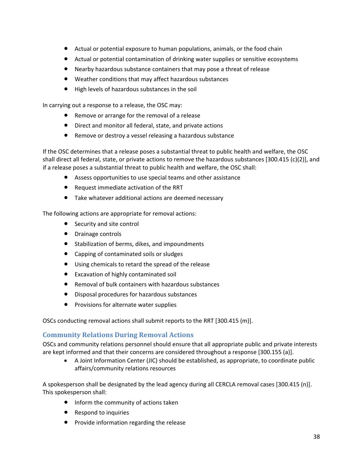- <span id="page-37-0"></span>• Actual or potential exposure to human populations, animals, or the food chain
- Actual or potential contamination of drinking water supplies or sensitive ecosystems
- Nearby hazardous substance containers that may pose a threat of release
- Weather conditions that may affect hazardous substances
- High levels of hazardous substances in the soil

In carrying out a response to a release, the OSC may:

- Remove or arrange for the removal of a release
- Direct and monitor all federal, state, and private actions
- Remove or destroy a vessel releasing a hazardous substance

If the OSC determines that a release poses a substantial threat to public health and welfare, the OSC shall direct all federal, state, or private actions to remove the hazardous substances [300.415 (c)(2)], and if a release poses a substantial threat to public health and welfare, the OSC shall:

- Assess opportunities to use special teams and other assistance
- Request immediate activation of the RRT
- Take whatever additional actions are deemed necessary

The following actions are appropriate for removal actions:

- Security and site control
- Drainage controls
- Stabilization of berms, dikes, and impoundments
- Capping of contaminated soils or sludges
- Using chemicals to retard the spread of the release
- Excavation of highly contaminated soil
- Removal of bulk containers with hazardous substances
- Disposal procedures for hazardous substances
- Provisions for alternate water supplies

OSCs conducting removal actions shall submit reports to the RRT [300.415 (m)].

# **Community Relations During Removal Actions**

OSCs and community relations personnel should ensure that all appropriate public and private interests are kept informed and that their concerns are considered throughout a response [300.155 (a)].

• A Joint Information Center (JIC) should be established, as appropriate, to coordinate public affairs/community relations resources

A spokesperson shall be designated by the lead agency during all CERCLA removal cases [300.415 (n)]. This spokesperson shall:

- Inform the community of actions taken
- Respond to inquiries
- Provide information regarding the release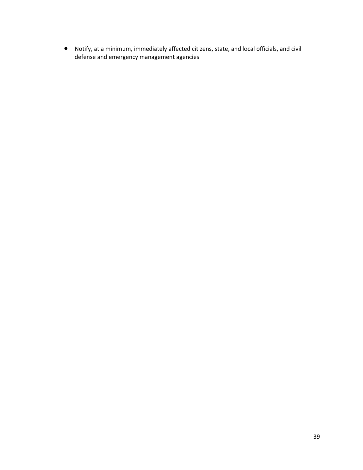• Notify, at a minimum, immediately affected citizens, state, and local officials, and civil defense and emergency management agencies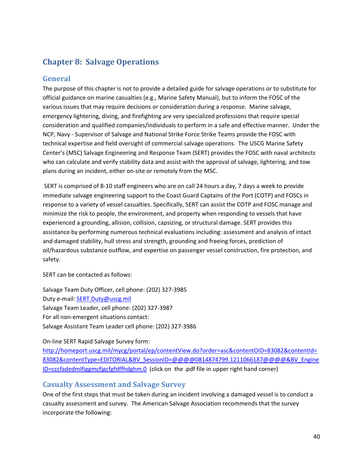# <span id="page-39-0"></span>**Chapter 8: Salvage Operations**

# **General**

The purpose of this chapter is not to provide a detailed guide for salvage operations or to substitute for official guidance on marine casualties (e.g., Marine Safety Manual), but to inform the FOSC of the various issues that may require decisions or consideration during a response. Marine salvage, emergency lightering, diving, and firefighting are very specialized professions that require special consideration and qualified companies/individuals to perform in a safe and effective manner. Under the NCP, Navy ‐ Supervisor of Salvage and National Strike Force Strike Teams provide the FOSC with technical expertise and field oversight of commercial salvage operations. The USCG Marine Safety Center's (MSC) Salvage Engineering and Response Team (SERT) provides the FOSC with naval architects who can calculate and verify stability data and assist with the approval of salvage, lightering, and tow plans during an incident, either on‐site or remotely from the MSC.

SERT is comprised of 8‐10 staff engineers who are on call 24 hours a day, 7 days a week to provide immediate salvage engineering support to the Coast Guard Captains of the Port (COTP) and FOSCs in response to a variety of vessel casualties. Specifically, SERT can assist the COTP and FOSC manage and minimize the risk to people, the environment, and property when responding to vessels that have experienced a grounding, allision, collision, capsizing, or structural damage. SERT provides this assistance by performing numerous technical evaluations including: assessment and analysis of intact and damaged stability, hull stress and strength, grounding and freeing forces, prediction of oil/hazardous substance outflow, and expertise on passenger vessel construction, fire protection, and safety.

SERT can be contacted as follows:

Salvage Team Duty Officer, cell phone: (202) 327‐3985 Duty e‐mail: [SERT.Duty@uscg.mil](mailto:SERT.Duty@uscg.mil) Salvage Team Leader, cell phone: (202) 327‐3987 For all non-emergent situations contact: Salvage Assistant Team Leader cell phone: (202) 327‐3986

#### On‐line SERT Rapid Salvage Survey form:

[http://homeport.uscg.mil/mycg/portal/ep/contentView.do?order=asc&contentOID=83082&contentId=](http://homeport.uscg.mil/mycg/portal/ep/contentView.do?order=asc&contentOID=83082&contentId=83082&contentType=EDITORIAL&BV_SessionID=@@@@0814874799.1211066187@@@@&BV_EngineID=cccfadedmlfiggmcfjgcfgfdffhdghm.0) [83082&contentType=EDITORIAL&BV\\_SessionID=@@@@0814874799.1211066187@@@@&BV\\_Engine](http://homeport.uscg.mil/mycg/portal/ep/contentView.do?order=asc&contentOID=83082&contentId=83082&contentType=EDITORIAL&BV_SessionID=@@@@0814874799.1211066187@@@@&BV_EngineID=cccfadedmlfiggmcfjgcfgfdffhdghm.0) [ID=cccfadedmlfiggmcfjgcfgfdffhdghm.0](http://homeport.uscg.mil/mycg/portal/ep/contentView.do?order=asc&contentOID=83082&contentId=83082&contentType=EDITORIAL&BV_SessionID=@@@@0814874799.1211066187@@@@&BV_EngineID=cccfadedmlfiggmcfjgcfgfdffhdghm.0) (click on the .pdf file in upper right hand corner)

# **Casualty Assessment and Salvage Survey**

One of the first steps that must be taken during an incident involving a damaged vessel is to conduct a casualty assessment and survey. The American Salvage Association recommends that the survey incorporate the following: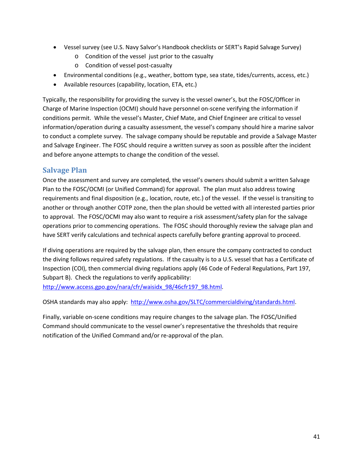- <span id="page-40-0"></span>• Vessel survey (see U.S. Navy Salvor's Handbook checklists or SERT's Rapid Salvage Survey)
	- o Condition of the vessel just prior to the casualty
	- o Condition of vessel post‐casualty
- Environmental conditions (e.g., weather, bottom type, sea state, tides/currents, access, etc.)
- Available resources (capability, location, ETA, etc.)

Typically, the responsibility for providing the survey is the vessel owner's, but the FOSC/Officer in Charge of Marine Inspection (OCMI) should have personnel on‐scene verifying the information if conditions permit. While the vessel's Master, Chief Mate, and Chief Engineer are critical to vessel information/operation during a casualty assessment, the vessel's company should hire a marine salvor to conduct a complete survey. The salvage company should be reputable and provide a Salvage Master and Salvage Engineer. The FOSC should require a written survey as soon as possible after the incident and before anyone attempts to change the condition of the vessel.

# **Salvage Plan**

Once the assessment and survey are completed, the vessel's owners should submit a written Salvage Plan to the FOSC/OCMI (or Unified Command) for approval. The plan must also address towing requirements and final disposition (e.g., location, route, etc.) of the vessel. If the vessel is transiting to another or through another COTP zone, then the plan should be vetted with all interested parties prior to approval. The FOSC/OCMI may also want to require a risk assessment/safety plan for the salvage operations prior to commencing operations. The FOSC should thoroughly review the salvage plan and have SERT verify calculations and technical aspects carefully before granting approval to proceed.

If diving operations are required by the salvage plan, then ensure the company contracted to conduct the diving follows required safety regulations. If the casualty is to a U.S. vessel that has a Certificate of Inspection (COI), then commercial diving regulations apply (46 Code of Federal Regulations, Part 197, Subpart B). Check the regulations to verify applicability: [http://www.access.gpo.gov/nara/cfr/waisidx\\_98/46cfr197\\_98.html](http://www.access.gpo.gov/nara/cfr/waisidx_98/46cfr197_98.html).

OSHA standards may also apply: <http://www.osha.gov/SLTC/commercialdiving/standards.html>.

Finally, variable on‐scene conditions may require changes to the salvage plan. The FOSC/Unified Command should communicate to the vessel owner's representative the thresholds that require notification of the Unified Command and/or re‐approval of the plan.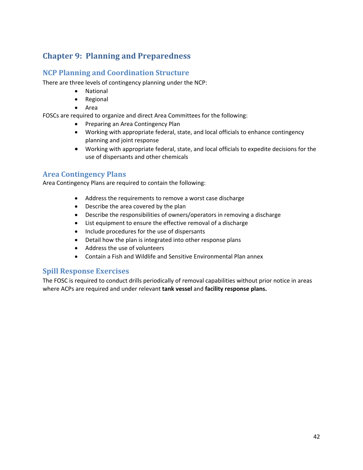# <span id="page-41-0"></span>**Chapter 9: Planning and Preparedness**

# **NCP Planning and Coordination Structure**

There are three levels of contingency planning under the NCP:

- National
- Regional
- Area

FOSCs are required to organize and direct Area Committees for the following:

- Preparing an Area Contingency Plan
- Working with appropriate federal, state, and local officials to enhance contingency planning and joint response
- Working with appropriate federal, state, and local officials to expedite decisions for the use of dispersants and other chemicals

# **Area Contingency Plans**

Area Contingency Plans are required to contain the following:

- Address the requirements to remove a worst case discharge
- Describe the area covered by the plan
- Describe the responsibilities of owners/operators in removing a discharge
- List equipment to ensure the effective removal of a discharge
- Include procedures for the use of dispersants
- Detail how the plan is integrated into other response plans
- Address the use of volunteers
- Contain a Fish and Wildlife and Sensitive Environmental Plan annex

# **Spill Response Exercises**

The FOSC is required to conduct drills periodically of removal capabilities without prior notice in areas where ACPs are required and under relevant **tank vessel** and **facility response plans.**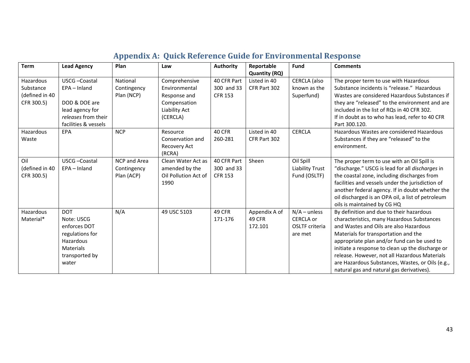<span id="page-42-0"></span>

| <b>Term</b>                                            | <b>Lead Agency</b>                                                                                                      | Plan                                      | Law                                                                                         | <b>Authority</b>                            | Reportable                                | <b>Fund</b>                                                            | <b>Comments</b>                                                                                                                                                                                                                                                                                                                                                                                                               |
|--------------------------------------------------------|-------------------------------------------------------------------------------------------------------------------------|-------------------------------------------|---------------------------------------------------------------------------------------------|---------------------------------------------|-------------------------------------------|------------------------------------------------------------------------|-------------------------------------------------------------------------------------------------------------------------------------------------------------------------------------------------------------------------------------------------------------------------------------------------------------------------------------------------------------------------------------------------------------------------------|
|                                                        |                                                                                                                         |                                           |                                                                                             |                                             | <b>Quantity (RQ)</b>                      |                                                                        |                                                                                                                                                                                                                                                                                                                                                                                                                               |
| Hazardous<br>Substance<br>(defined in 40<br>CFR 300.5) | USCG-Coastal<br>EPA - Inland<br>DOD & DOE are<br>lead agency for<br>releases from their<br>facilities & vessels         | National<br>Contingency<br>Plan (NCP)     | Comprehensive<br>Environmental<br>Response and<br>Compensation<br>Liability Act<br>(CERCLA) | 40 CFR Part<br>300 and 33<br><b>CFR 153</b> | Listed in 40<br>CFR Part 302              | CERCLA (also<br>known as the<br>Superfund)                             | The proper term to use with Hazardous<br>Substance incidents is "release." Hazardous<br>Wastes are considered Hazardous Substances if<br>they are "released" to the environment and are<br>included in the list of RQs in 40 CFR 302.<br>If in doubt as to who has lead, refer to 40 CFR<br>Part 300.120.                                                                                                                     |
| Hazardous<br>Waste                                     | EPA                                                                                                                     | <b>NCP</b>                                | Resource<br>Conservation and<br>Recovery Act<br>(RCRA)                                      | 40 CFR<br>260-281                           | Listed in 40<br>CFR Part 302              | <b>CERCLA</b>                                                          | Hazardous Wastes are considered Hazardous<br>Substances if they are "released" to the<br>environment.                                                                                                                                                                                                                                                                                                                         |
| Oil<br>(defined in 40<br>CFR 300.5)                    | USCG-Coastal<br>$EPA - Inland$                                                                                          | NCP and Area<br>Contingency<br>Plan (ACP) | Clean Water Act as<br>amended by the<br>Oil Pollution Act of<br>1990                        | 40 CFR Part<br>300 and 33<br><b>CFR 153</b> | Sheen                                     | Oil Spill<br><b>Liability Trust</b><br>Fund (OSLTF)                    | The proper term to use with an Oil Spill is<br>"discharge." USCG is lead for all discharges in<br>the coastal zone, including discharges from<br>facilities and vessels under the jurisdiction of<br>another federal agency. If in doubt whether the<br>oil discharged is an OPA oil, a list of petroleum<br>oils is maintained by CG HQ                                                                                      |
| Hazardous<br>Material*                                 | <b>DOT</b><br>Note: USCG<br>enforces DOT<br>regulations for<br>Hazardous<br><b>Materials</b><br>transported by<br>water | N/A                                       | 49 USC 5103                                                                                 | 49 CFR<br>171-176                           | Appendix A of<br><b>49 CFR</b><br>172.101 | $N/A$ – unless<br><b>CERCLA or</b><br><b>OSLTF</b> criteria<br>are met | By definition and due to their hazardous<br>characteristics, many Hazardous Substances<br>and Wastes and Oils are also Hazardous<br>Materials for transportation and the<br>appropriate plan and/or fund can be used to<br>initiate a response to clean up the discharge or<br>release. However, not all Hazardous Materials<br>are Hazardous Substances, Wastes, or Oils (e.g.,<br>natural gas and natural gas derivatives). |

# **Appendix A: Quick Reference Guide for Environmental Response**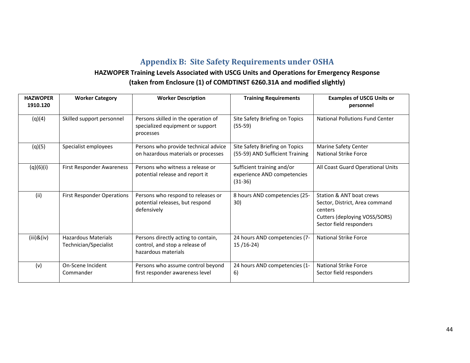# **Appendix B: Site Safety Requirements under OSHA**

# **HAZWOPER Training Levels Associated with USCG Units and Operations for Emergency Response**

<span id="page-43-0"></span>

| <b>HAZWOPER</b>  | <b>Worker Category</b>                              | <b>Worker Description</b>                                                                    | <b>Training Requirements</b>                                           | <b>Examples of USCG Units or</b>                                                                                                  |
|------------------|-----------------------------------------------------|----------------------------------------------------------------------------------------------|------------------------------------------------------------------------|-----------------------------------------------------------------------------------------------------------------------------------|
| 1910.120         |                                                     |                                                                                              |                                                                        | personnel                                                                                                                         |
| (q)(4)           | Skilled support personnel                           | Persons skilled in the operation of<br>specialized equipment or support<br>processes         | Site Safety Briefing on Topics<br>$(55-59)$                            | National Pollutions Fund Center                                                                                                   |
| (q)(5)           | Specialist employees                                | Persons who provide technical advice<br>on hazardous materials or processes                  | Site Safety Briefing on Topics<br>(55-59) AND Sufficient Training      | Marine Safety Center<br><b>National Strike Force</b>                                                                              |
| (q)(6)(i)        | First Responder Awareness                           | Persons who witness a release or<br>potential release and report it                          | Sufficient training and/or<br>experience AND competencies<br>$(31-36)$ | All Coast Guard Operational Units                                                                                                 |
| (ii)             | <b>First Responder Operations</b>                   | Persons who respond to releases or<br>potential releases, but respond<br>defensively         | 8 hours AND competencies (25-<br>30)                                   | Station & ANT boat crews<br>Sector, District, Area command<br>centers<br>Cutters (deploying VOSS/SORS)<br>Sector field responders |
| $(iii)$ & $(iv)$ | <b>Hazardous Materials</b><br>Technician/Specialist | Persons directly acting to contain,<br>control, and stop a release of<br>hazardous materials | 24 hours AND competencies (7-<br>$15/16-24$                            | <b>National Strike Force</b>                                                                                                      |
| (v)              | On-Scene Incident<br>Commander                      | Persons who assume control beyond<br>first responder awareness level                         | 24 hours AND competencies (1-<br>6)                                    | National Strike Force<br>Sector field responders                                                                                  |

# **(taken from Enclosure (1) of COMDTINST 6260.31A and modified slightly)**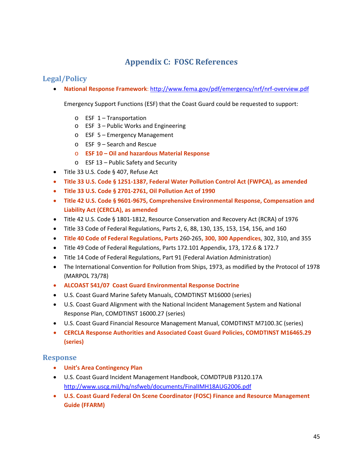# **Appendix C: FOSC References**

# <span id="page-44-0"></span>**Legal/Policy**

• **National Response Framework**: [http://www.fema.gov/pdf/emergency/nrf/nrf](http://www.fema.gov/pdf/emergency/nrf/nrf-overview.pdf)‐overview.pdf

Emergency Support Functions (ESF) that the Coast Guard could be requested to support:

- o ESF 1 Transportation
- o ESF 3 Public Works and Engineering
- o ESF 5 Emergency Management
- o ESF 9 Search and Rescue
- o **ESF 10 – Oil and hazardous Material Response**
- o ESF 13 Public Safety and Security
- Title 33 U.S. Code § 407, Refuse Act
- **Title 33 U.S. Code § 1251‐1387, Federal Water Pollution Control Act (FWPCA), as amended**
- **Title 33 U.S. Code § 2701‐2761, Oil Pollution Act of 1990**
- **Title 42 U.S. Code § 9601‐9675, Comprehensive Environmental Response, Compensation and Liability Act (CERCLA), as amended**
- Title 42 U.S. Code § 1801‐1812, Resource Conservation and Recovery Act (RCRA) of 1976
- Title 33 Code of Federal Regulations, Parts 2, 6, 88, 130, 135, 153, 154, 156, and 160
- **Title 40 Code of Federal Regulations, Parts** 260‐265**, 300, 300 Appendices**, 302, 310, and 355
- Title 49 Code of Federal Regulations, Parts 172.101 Appendix, 173, 172.6 & 172.7
- Title 14 Code of Federal Regulations, Part 91 (Federal Aviation Administration)
- The International Convention for Pollution from Ships, 1973, as modified by the Protocol of 1978 (MARPOL 73/78)
- **ALCOAST 541/07 Coast Guard Environmental Response Doctrine**
- U.S. Coast Guard Marine Safety Manuals, COMDTINST M16000 (series)
- U.S. Coast Guard Alignment with the National Incident Management System and National Response Plan, COMDTINST 16000.27 (series)
- U.S. Coast Guard Financial Resource Management Manual, COMDTINST M7100.3C (series)
- **CERCLA Response Authorities and Associated Coast Guard Policies, COMDTINST M16465.29 (series)**

# **Response**

- **Unit's Area Contingency Plan**
- U.S. Coast Guard Incident Management Handbook, COMDTPUB P3120.17A <http://www.uscg.mil/hq/nsfweb/documents/FinalIMH18AUG2006.pdf>
- **U.S. Coast Guard Federal On Scene Coordinator (FOSC) Finance and Resource Management Guide (FFARM)**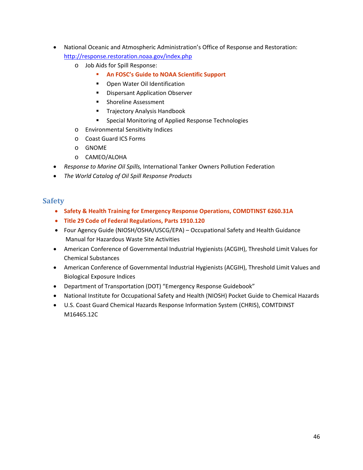- <span id="page-45-0"></span>• National Oceanic and Atmospheric Administration's Office of Response and Restoration: <http://response.restoration.noaa.gov/index.php>
	- o Job Aids for Spill Response:
		- **An FOSC's Guide to NOAA Scientific Support**
		- **•** Open Water Oil Identification
		- **Dispersant Application Observer**
		- **Shoreline Assessment**
		- **Trajectory Analysis Handbook**
		- **EXECTE:** Special Monitoring of Applied Response Technologies
	- o Environmental Sensitivity Indices
	- o Coast Guard ICS Forms
	- o GNOME
	- o CAMEO/ALOHA
- *Response to Marine Oil Spills,* International Tanker Owners Pollution Federation
- *The World Catalog of Oil Spill Response Products*

#### **Safety**

- **Safety & Health Training for Emergency Response Operations, COMDTINST 6260.31A**
- **Title 29 Code of Federal Regulations, Parts 1910.120**
- Four Agency Guide (NIOSH/OSHA/USCG/EPA) Occupational Safety and Health Guidance Manual for Hazardous Waste Site Activities
- American Conference of Governmental Industrial Hygienists (ACGIH), Threshold Limit Values for Chemical Substances
- American Conference of Governmental Industrial Hygienists (ACGIH), Threshold Limit Values and Biological Exposure Indices
- Department of Transportation (DOT) "Emergency Response Guidebook"
- National Institute for Occupational Safety and Health (NIOSH) Pocket Guide to Chemical Hazards
- U.S. Coast Guard Chemical Hazards Response Information System (CHRIS), COMTDINST M16465.12C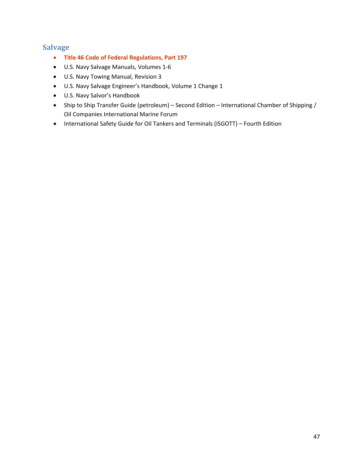# <span id="page-46-0"></span>**Salvage**

- **Title 46 Code of Federal Regulations, Part 197**
- U.S. Navy Salvage Manuals, Volumes 1‐6
- U.S. Navy Towing Manual, Revision 3
- U.S. Navy Salvage Engineer's Handbook, Volume 1 Change 1
- U.S. Navy Salvor's Handbook
- Ship to Ship Transfer Guide (petroleum) Second Edition International Chamber of Shipping / Oil Companies International Marine Forum
- International Safety Guide for Oil Tankers and Terminals (ISGOTT) Fourth Edition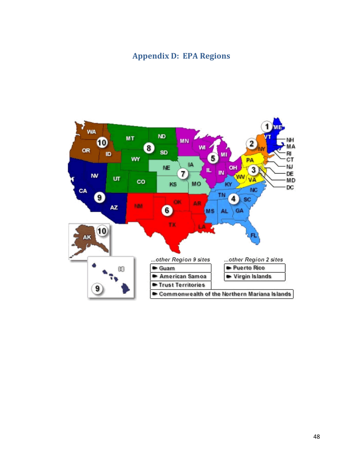# **Appendix D: EPA Regions**

<span id="page-47-0"></span>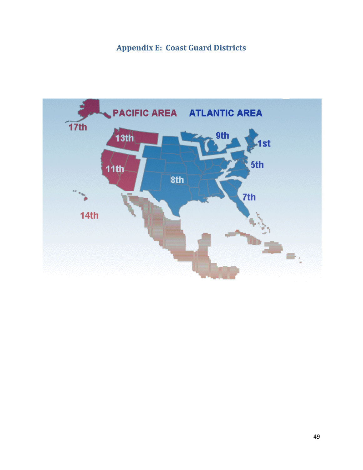# **Appendix E: Coast Guard Districts**

<span id="page-48-0"></span>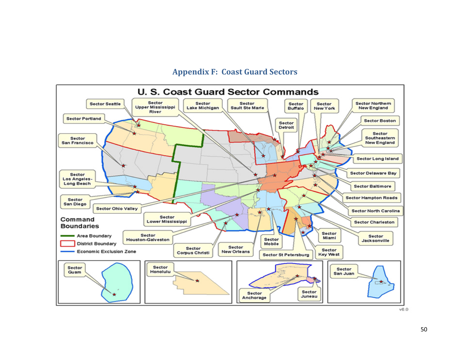# **Appendix F: Coast Guard Sectors**

<span id="page-49-0"></span>